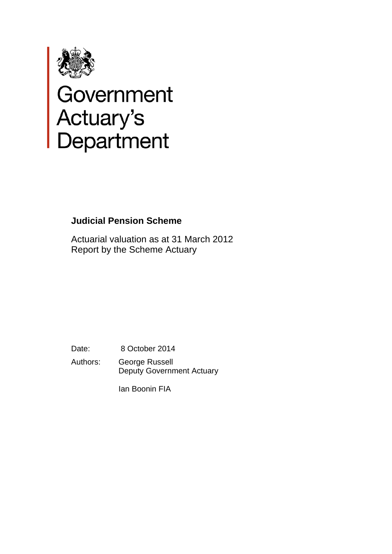

# Government<br>Actuary's<br>Department

# **Judicial Pension Scheme**

Actuarial valuation as at 31 March 2012 Report by the Scheme Actuary

Date: 8 October 2014 Authors: George Russell Deputy Government Actuary

Ian Boonin FIA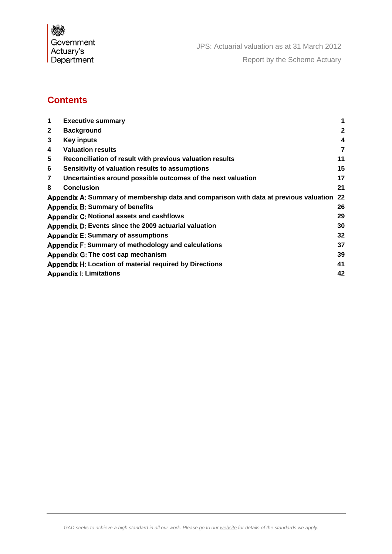Government Actuary's<br>Department

# **Contents**

| 1                                                             | <b>Executive summary</b>                                                              |              |  |
|---------------------------------------------------------------|---------------------------------------------------------------------------------------|--------------|--|
| $\mathbf{2}$                                                  | <b>Background</b>                                                                     | $\mathbf{2}$ |  |
| 3                                                             | <b>Key inputs</b>                                                                     | 4            |  |
| 4                                                             | <b>Valuation results</b>                                                              | 7            |  |
| 5                                                             | Reconciliation of result with previous valuation results                              | 11           |  |
| 6                                                             | Sensitivity of valuation results to assumptions                                       | 15           |  |
| 7                                                             | Uncertainties around possible outcomes of the next valuation                          | 17           |  |
| 8                                                             | <b>Conclusion</b>                                                                     | 21           |  |
|                                                               | Appendix A: Summary of membership data and comparison with data at previous valuation | 22           |  |
|                                                               | <b>Appendix B: Summary of benefits</b>                                                | 26           |  |
|                                                               | Appendix C: Notional assets and cashflows                                             | 29           |  |
| Appendix D: Events since the 2009 actuarial valuation<br>30   |                                                                                       |              |  |
|                                                               | <b>Appendix E: Summary of assumptions</b>                                             | 32           |  |
| 37<br>Appendix F: Summary of methodology and calculations     |                                                                                       |              |  |
| Appendix G: The cost cap mechanism<br>39                      |                                                                                       |              |  |
| Appendix H: Location of material required by Directions<br>41 |                                                                                       |              |  |
| 42<br><b>Appendix I: Limitations</b>                          |                                                                                       |              |  |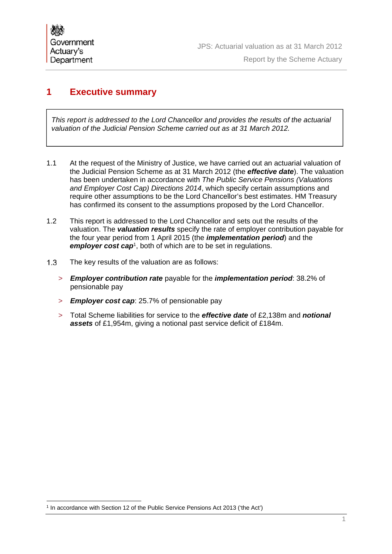#### Report by the Scheme Actuary

## **1 Executive summary**

*This report is addressed to the Lord Chancellor and provides the results of the actuarial valuation of the Judicial Pension Scheme carried out as at 31 March 2012.*

- 1.1 At the request of the Ministry of Justice, we have carried out an actuarial valuation of the Judicial Pension Scheme as at 31 March 2012 (the *effective date*). The valuation has been undertaken in accordance with *The Public Service Pensions (Valuations and Employer Cost Cap) Directions 2014*, which specify certain assumptions and require other assumptions to be the Lord Chancellor's best estimates. HM Treasury has confirmed its consent to the assumptions proposed by the Lord Chancellor.
- 1.2 This report is addressed to the Lord Chancellor and sets out the results of the valuation. The *valuation results* specify the rate of employer contribution payable for the four year period from 1 April 2015 (the *implementation period*) and the *employer cost cap<sup>1</sup>*, both of which are to be set in regulations.
- 1.3 The key results of the valuation are as follows:
	- > *Employer contribution rate* payable for the *implementation period*: 38.2% of pensionable pay
	- > *Employer cost cap*: 25.7% of pensionable pay
	- > Total Scheme liabilities for service to the *effective date* of £2,138m and *notional assets* of £1,954m, giving a notional past service deficit of £184m.

<sup>&</sup>lt;sup>1</sup> In accordance with Section 12 of the Public Service Pensions Act 2013 ('the Act')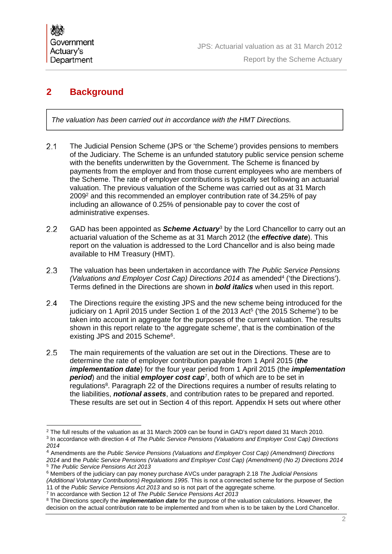# **2 Background**

*The valuation has been carried out in accordance with the HMT Directions.*

- The Judicial Pension Scheme (JPS or 'the Scheme') provides pensions to members of the Judiciary. The Scheme is an unfunded statutory public service pension scheme with the benefits underwritten by the Government. The Scheme is financed by payments from the employer and from those current employees who are members of the Scheme. The rate of employer contributions is typically set following an actuarial valuation. The previous valuation of the Scheme was carried out as at 31 March 20092 and this recommended an employer contribution rate of 34.25% of pay including an allowance of 0.25% of pensionable pay to cover the cost of administrative expenses.
- 2.2 GAD has been appointed as **Scheme Actuary**<sup>3</sup> by the Lord Chancellor to carry out an actuarial valuation of the Scheme as at 31 March 2012 (the *effective date*). This report on the valuation is addressed to the Lord Chancellor and is also being made available to HM Treasury (HMT).
- The valuation has been undertaken in accordance with *The Public Service Pensions (Valuations and Employer Cost Cap) Directions 2014* as amended4 ('the Directions'). Terms defined in the Directions are shown in *bold italics* when used in this report.
- The Directions require the existing JPS and the new scheme being introduced for the judiciary on 1 April 2015 under Section 1 of the 2013 Act<sup>5</sup> ('the 2015 Scheme') to be taken into account in aggregate for the purposes of the current valuation. The results shown in this report relate to 'the aggregate scheme', that is the combination of the existing JPS and 2015 Scheme<sup>6</sup>.
- The main requirements of the valuation are set out in the Directions. These are to determine the rate of employer contribution payable from 1 April 2015 (*the implementation date*) for the four year period from 1 April 2015 (the *implementation*  **period**) and the initial **employer cost cap**<sup>7</sup>, both of which are to be set in regulations<sup>8</sup>. Paragraph 22 of the Directions requires a number of results relating to the liabilities, *notional assets*, and contribution rates to be prepared and reported. These results are set out in Section 4 of this report. Appendix H sets out where other

11 of the *Public Service Pensions Act 2013* and so is not part of the aggregate scheme*.* 

7 In accordance with Section 12 of *The Public Service Pensions Act 2013*

 $\overline{a}$ <sup>2</sup> The full results of the valuation as at 31 March 2009 can be found in GAD's report dated 31 March 2010. <sup>3</sup> In accordance with direction 4 of *The Public Service Pensions (Valuations and Employer Cost Cap) Directions* 

*<sup>2014</sup>* 

<sup>4</sup> Amendments are the *Public Service Pensions (Valuations and Employer Cost Cap) (Amendment) Directions 2014* and the *Public Service Pensions (Valuations and Employer Cost Cap) (Amendment) (No 2) Directions 2014* <sup>5</sup> *The Public Service Pensions Act 2013*

<sup>6</sup> Members of the judiciary can pay money purchase AVCs under paragraph 2.18 *The Judicial Pensions (Additional Voluntary Contributions) Regulations 1995*. This is not a connected scheme for the purpose of Section

<sup>8</sup> The Directions specify the *implementation date* for the purpose of the valuation calculations. However, the decision on the actual contribution rate to be implemented and from when is to be taken by the Lord Chancellor.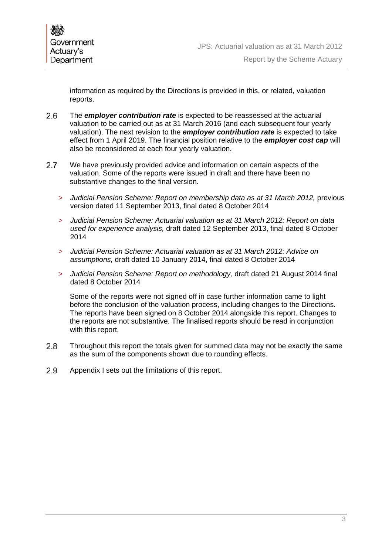information as required by the Directions is provided in this, or related, valuation reports.

- The *employer contribution rate* is expected to be reassessed at the actuarial valuation to be carried out as at 31 March 2016 (and each subsequent four yearly valuation). The next revision to the *employer contribution rate* is expected to take effect from 1 April 2019. The financial position relative to the *employer cost cap* will also be reconsidered at each four yearly valuation.
- 2.7 We have previously provided advice and information on certain aspects of the valuation. Some of the reports were issued in draft and there have been no substantive changes to the final version.
	- > *Judicial Pension Scheme: Report on membership data as at 31 March 2012,* previous version dated 11 September 2013, final dated 8 October 2014
	- > *Judicial Pension Scheme: Actuarial valuation as at 31 March 2012: Report on data used for experience analysis,* draft dated 12 September 2013, final dated 8 October 2014
	- > *Judicial Pension Scheme: Actuarial valuation as at 31 March 2012: Advice on assumptions,* draft dated 10 January 2014, final dated 8 October 2014
	- > *Judicial Pension Scheme: Report on methodology,* draft dated 21 August 2014 final dated 8 October 2014

Some of the reports were not signed off in case further information came to light before the conclusion of the valuation process, including changes to the Directions. The reports have been signed on 8 October 2014 alongside this report. Changes to the reports are not substantive. The finalised reports should be read in conjunction with this report.

- Throughout this report the totals given for summed data may not be exactly the same as the sum of the components shown due to rounding effects.
- 2.9 Appendix I sets out the limitations of this report.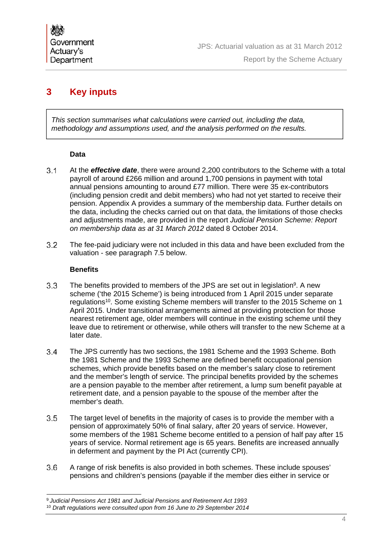# **3 Key inputs**

*This section summarises what calculations were carried out, including the data, methodology and assumptions used, and the analysis performed on the results.*

#### **Data**

- At the *effective date*, there were around 2,200 contributors to the Scheme with a total payroll of around £266 million and around 1,700 pensions in payment with total annual pensions amounting to around £77 million. There were 35 ex-contributors (including pension credit and debit members) who had not yet started to receive their pension. Appendix A provides a summary of the membership data. Further details on the data, including the checks carried out on that data, the limitations of those checks and adjustments made, are provided in the report *Judicial Pension Scheme: Report on membership data as at 31 March 2012* dated 8 October 2014.
- The fee-paid judiciary were not included in this data and have been excluded from the valuation - see paragraph 7.5 below.

#### **Benefits**

- 3.3 The benefits provided to members of the JPS are set out in legislation<sup>9</sup>. A new scheme ('the 2015 Scheme') is being introduced from 1 April 2015 under separate regulations10. Some existing Scheme members will transfer to the 2015 Scheme on 1 April 2015. Under transitional arrangements aimed at providing protection for those nearest retirement age, older members will continue in the existing scheme until they leave due to retirement or otherwise, while others will transfer to the new Scheme at a later date.
- The JPS currently has two sections, the 1981 Scheme and the 1993 Scheme. Both the 1981 Scheme and the 1993 Scheme are defined benefit occupational pension schemes, which provide benefits based on the member's salary close to retirement and the member's length of service. The principal benefits provided by the schemes are a pension payable to the member after retirement, a lump sum benefit payable at retirement date, and a pension payable to the spouse of the member after the member's death.
- The target level of benefits in the majority of cases is to provide the member with a pension of approximately 50% of final salary, after 20 years of service. However, some members of the 1981 Scheme become entitled to a pension of half pay after 15 years of service. Normal retirement age is 65 years. Benefits are increased annually in deferment and payment by the PI Act (currently CPI).
- A range of risk benefits is also provided in both schemes. These include spouses' pensions and children's pensions (payable if the member dies either in service or

 $\overline{a}$ <sup>9</sup>*Judicial Pensions Act 1981 and Judicial Pensions and Retirement Act 1993*

<sup>10</sup> *Draft regulations were consulted upon from 16 June to 29 September 2014*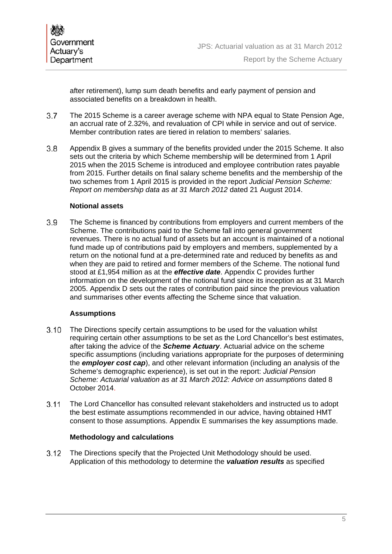

after retirement), lump sum death benefits and early payment of pension and associated benefits on a breakdown in health.

- The 2015 Scheme is a career average scheme with NPA equal to State Pension Age, an accrual rate of 2.32%, and revaluation of CPI while in service and out of service. Member contribution rates are tiered in relation to members' salaries.
- Appendix B gives a summary of the benefits provided under the 2015 Scheme. It also sets out the criteria by which Scheme membership will be determined from 1 April 2015 when the 2015 Scheme is introduced and employee contribution rates payable from 2015. Further details on final salary scheme benefits and the membership of the two schemes from 1 April 2015 is provided in the report *Judicial Pension Scheme: Report on membership data as at 31 March 2012* dated 21 August 2014.

#### **Notional assets**

 The Scheme is financed by contributions from employers and current members of the Scheme. The contributions paid to the Scheme fall into general government revenues. There is no actual fund of assets but an account is maintained of a notional fund made up of contributions paid by employers and members, supplemented by a return on the notional fund at a pre-determined rate and reduced by benefits as and when they are paid to retired and former members of the Scheme. The notional fund stood at £1,954 million as at the *effective date*. Appendix C provides further information on the development of the notional fund since its inception as at 31 March 2005. Appendix D sets out the rates of contribution paid since the previous valuation and summarises other events affecting the Scheme since that valuation.

#### **Assumptions**

- The Directions specify certain assumptions to be used for the valuation whilst requiring certain other assumptions to be set as the Lord Chancellor's best estimates, after taking the advice of the *Scheme Actuary*. Actuarial advice on the scheme specific assumptions (including variations appropriate for the purposes of determining the *employer cost cap*), and other relevant information (including an analysis of the Scheme's demographic experience), is set out in the report: *Judicial Pension*  Scheme: Actuarial valuation as at 31 March 2012: Advice on assumptions dated 8 October 2014.
- The Lord Chancellor has consulted relevant stakeholders and instructed us to adopt the best estimate assumptions recommended in our advice, having obtained HMT consent to those assumptions. Appendix E summarises the key assumptions made.

#### **Methodology and calculations**

 The Directions specify that the Projected Unit Methodology should be used. Application of this methodology to determine the *valuation results* as specified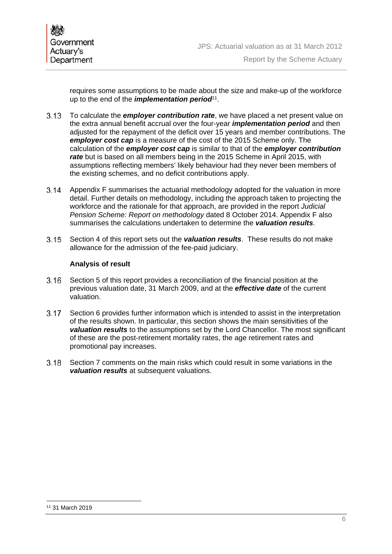requires some assumptions to be made about the size and make-up of the workforce up to the end of the *implementation period*<sup>11</sup>.

- To calculate the *employer contribution rate*, we have placed a net present value on the extra annual benefit accrual over the four-year *implementation period* and then adjusted for the repayment of the deficit over 15 years and member contributions. The *employer cost cap* is a measure of the cost of the 2015 Scheme only. The calculation of the *employer cost cap* is similar to that of the *employer contribution rate* but is based on all members being in the 2015 Scheme in April 2015, with assumptions reflecting members' likely behaviour had they never been members of the existing schemes, and no deficit contributions apply.
- Appendix F summarises the actuarial methodology adopted for the valuation in more detail. Further details on methodology, including the approach taken to projecting the workforce and the rationale for that approach, are provided in the report *Judicial Pension Scheme: Report on methodology* dated 8 October 2014. Appendix F also summarises the calculations undertaken to determine the *valuation results*.
- Section 4 of this report sets out the *valuation results*. These results do not make allowance for the admission of the fee-paid judiciary.

#### **Analysis of result**

- Section 5 of this report provides a reconciliation of the financial position at the previous valuation date, 31 March 2009, and at the *effective date* of the current valuation.
- Section 6 provides further information which is intended to assist in the interpretation of the results shown. In particular, this section shows the main sensitivities of the *valuation results* to the assumptions set by the Lord Chancellor. The most significant of these are the post-retirement mortality rates, the age retirement rates and promotional pay increases.
- Section 7 comments on the main risks which could result in some variations in the *valuation results* at subsequent valuations.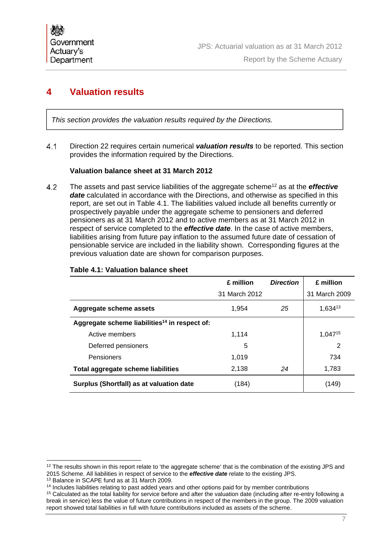# **4 Valuation results**

*This section provides the valuation results required by the Directions.*

 Direction 22 requires certain numerical *valuation results* to be reported. This section provides the information required by the Directions.

#### **Valuation balance sheet at 31 March 2012**

 The assets and past service liabilities of the aggregate scheme12 as at the *effective date* calculated in accordance with the Directions, and otherwise as specified in this report, are set out in Table 4.1. The liabilities valued include all benefits currently or prospectively payable under the aggregate scheme to pensioners and deferred pensioners as at 31 March 2012 and to active members as at 31 March 2012 in respect of service completed to the *effective date*. In the case of active members, liabilities arising from future pay inflation to the assumed future date of cessation of pensionable service are included in the liability shown. Corresponding figures at the previous valuation date are shown for comparison purposes.

|                                                           | £ million     | <b>Direction</b> | £ million      |
|-----------------------------------------------------------|---------------|------------------|----------------|
|                                                           | 31 March 2012 |                  | 31 March 2009  |
| Aggregate scheme assets                                   | 1.954         | 25               | 1,63413        |
| Aggregate scheme liabilities <sup>14</sup> in respect of: |               |                  |                |
| Active members                                            | 1.114         |                  | $1,047^{15}$   |
| Deferred pensioners                                       | 5             |                  | $\overline{2}$ |
| Pensioners                                                | 1.019         |                  | 734            |
| Total aggregate scheme liabilities                        | 2,138         | 24               | 1,783          |
| Surplus (Shortfall) as at valuation date                  | (184)         |                  | (149)          |

#### **Table 4.1: Valuation balance sheet**

 $\overline{a}$ 

<sup>&</sup>lt;sup>12</sup> The results shown in this report relate to 'the aggregate scheme' that is the combination of the existing JPS and 2015 Scheme. All liabilities in respect of service to the *effective date* relate to the existing JPS. 13 Balance in SCAPE fund as at 31 March 2009.

<sup>&</sup>lt;sup>14</sup> Includes liabilities relating to past added years and other options paid for by member contributions

<sup>&</sup>lt;sup>15</sup> Calculated as the total liability for service before and after the valuation date (including after re-entry following a break in service) less the value of future contributions in respect of the members in the group. The 2009 valuation report showed total liabilities in full with future contributions included as assets of the scheme.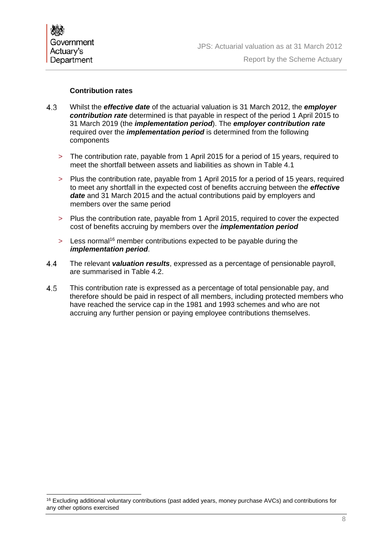

 $\overline{a}$ 

#### **Contribution rates**

- Whilst the *effective date* of the actuarial valuation is 31 March 2012, the *employer contribution rate* determined is that payable in respect of the period 1 April 2015 to 31 March 2019 (the *implementation period*). The *employer contribution rate* required over the *implementation period* is determined from the following components
	- > The contribution rate, payable from 1 April 2015 for a period of 15 years, required to meet the shortfall between assets and liabilities as shown in Table 4.1
	- > Plus the contribution rate, payable from 1 April 2015 for a period of 15 years, required to meet any shortfall in the expected cost of benefits accruing between the *effective date* and 31 March 2015 and the actual contributions paid by employers and members over the same period
	- > Plus the contribution rate, payable from 1 April 2015, required to cover the expected cost of benefits accruing by members over the *implementation period*
	- > Less normal<sup>16</sup> member contributions expected to be payable during the *implementation period*.
- The relevant *valuation results*, expressed as a percentage of pensionable payroll, are summarised in Table 4.2.
- This contribution rate is expressed as a percentage of total pensionable pay, and therefore should be paid in respect of all members, including protected members who have reached the service cap in the 1981 and 1993 schemes and who are not accruing any further pension or paying employee contributions themselves.

<sup>&</sup>lt;sup>16</sup> Excluding additional voluntary contributions (past added years, money purchase AVCs) and contributions for any other options exercised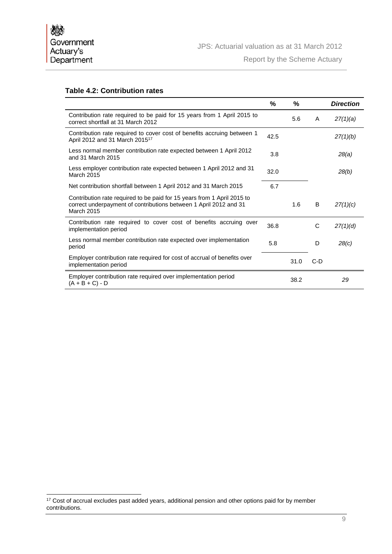$\overline{a}$ 

#### **Table 4.2: Contribution rates**

|                                                                                                                                                                   | %    | %    |       | <b>Direction</b> |
|-------------------------------------------------------------------------------------------------------------------------------------------------------------------|------|------|-------|------------------|
| Contribution rate required to be paid for 15 years from 1 April 2015 to<br>correct shortfall at 31 March 2012                                                     |      | 5.6  | A     | 27(1)(a)         |
| Contribution rate required to cover cost of benefits accruing between 1<br>April 2012 and 31 March 2015 <sup>17</sup>                                             | 42.5 |      |       | 27(1)(b)         |
| Less normal member contribution rate expected between 1 April 2012<br>and 31 March 2015                                                                           | 3.8  |      |       | 28(a)            |
| Less employer contribution rate expected between 1 April 2012 and 31<br>March 2015                                                                                | 32.0 |      |       | 28(b)            |
| Net contribution shortfall between 1 April 2012 and 31 March 2015                                                                                                 | 6.7  |      |       |                  |
| Contribution rate required to be paid for 15 years from 1 April 2015 to<br>correct underpayment of contributions between 1 April 2012 and 31<br><b>March 2015</b> |      | 1.6  | B     | 27(1)(c)         |
| Contribution rate required to cover cost of benefits accruing over<br>implementation period                                                                       | 36.8 |      | C     | 27(1)(d)         |
| Less normal member contribution rate expected over implementation<br>period                                                                                       | 5.8  |      | D     | 28(c)            |
| Employer contribution rate required for cost of accrual of benefits over<br>implementation period                                                                 |      | 31.0 | $C-D$ |                  |
| Employer contribution rate required over implementation period<br>$(A + B + C) - D$                                                                               |      | 38.2 |       | 29               |

<sup>&</sup>lt;sup>17</sup> Cost of accrual excludes past added years, additional pension and other options paid for by member contributions.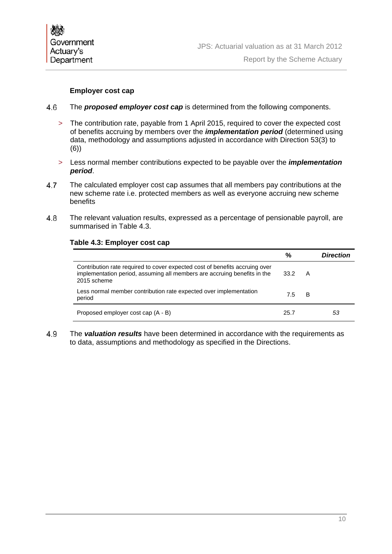

#### **Employer cost cap**

- The *proposed employer cost cap* is determined from the following components.
	- > The contribution rate, payable from 1 April 2015, required to cover the expected cost of benefits accruing by members over the *implementation period* (determined using data, methodology and assumptions adjusted in accordance with Direction 53(3) to (6))
	- > Less normal member contributions expected to be payable over the *implementation period*.
- The calculated employer cost cap assumes that all members pay contributions at the new scheme rate i.e. protected members as well as everyone accruing new scheme benefits
- The relevant valuation results, expressed as a percentage of pensionable payroll, are summarised in Table 4.3.

|                                                                                                                                                                        | %    |   | Direction |
|------------------------------------------------------------------------------------------------------------------------------------------------------------------------|------|---|-----------|
| Contribution rate required to cover expected cost of benefits accruing over<br>implementation period, assuming all members are accruing benefits in the<br>2015 scheme | 33.2 | A |           |
| Less normal member contribution rate expected over implementation<br>period                                                                                            | 7.5  | В |           |
| Proposed employer cost cap (A - B)                                                                                                                                     | 25.7 |   | 53        |

#### **Table 4.3: Employer cost cap**

 The *valuation results* have been determined in accordance with the requirements as to data, assumptions and methodology as specified in the Directions.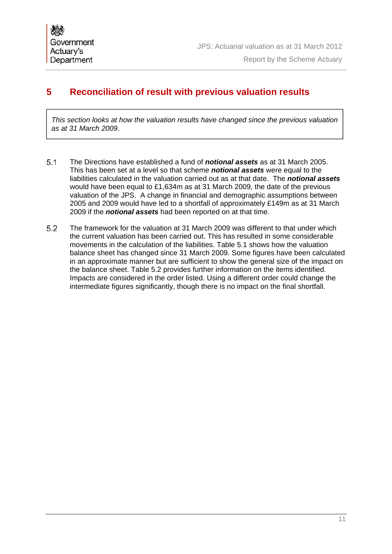# **5 Reconciliation of result with previous valuation results**

*This section looks at how the valuation results have changed since the previous valuation as at 31 March 2009.*

- The Directions have established a fund of *notional assets* as at 31 March 2005. This has been set at a level so that scheme *notional assets* were equal to the liabilities calculated in the valuation carried out as at that date. The *notional assets* would have been equal to £1,634m as at 31 March 2009, the date of the previous valuation of the JPS. A change in financial and demographic assumptions between 2005 and 2009 would have led to a shortfall of approximately £149m as at 31 March 2009 if the *notional assets* had been reported on at that time.
- The framework for the valuation at 31 March 2009 was different to that under which the current valuation has been carried out. This has resulted in some considerable movements in the calculation of the liabilities. Table 5.1 shows how the valuation balance sheet has changed since 31 March 2009. Some figures have been calculated in an approximate manner but are sufficient to show the general size of the impact on the balance sheet. Table 5.2 provides further information on the items identified. Impacts are considered in the order listed. Using a different order could change the intermediate figures significantly, though there is no impact on the final shortfall.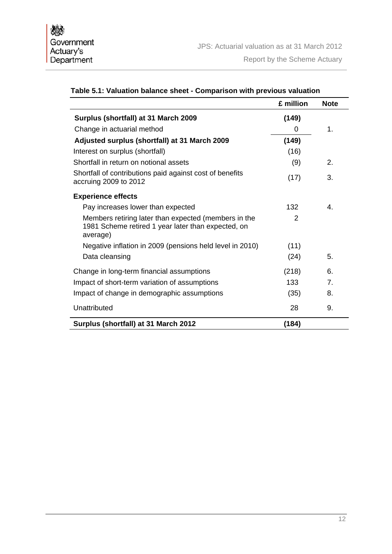|                                                                                                                        | £ million      | <b>Note</b>      |
|------------------------------------------------------------------------------------------------------------------------|----------------|------------------|
| Surplus (shortfall) at 31 March 2009                                                                                   | (149)          |                  |
| Change in actuarial method                                                                                             | 0              | 1.               |
| Adjusted surplus (shortfall) at 31 March 2009                                                                          | (149)          |                  |
| Interest on surplus (shortfall)                                                                                        | (16)           |                  |
| Shortfall in return on notional assets                                                                                 | (9)            | $\overline{2}$ . |
| Shortfall of contributions paid against cost of benefits<br>accruing 2009 to 2012                                      | (17)           | 3.               |
| <b>Experience effects</b>                                                                                              |                |                  |
| Pay increases lower than expected                                                                                      | 132            | $\mathbf{4}$     |
| Members retiring later than expected (members in the<br>1981 Scheme retired 1 year later than expected, on<br>average) | $\mathfrak{p}$ |                  |
| Negative inflation in 2009 (pensions held level in 2010)                                                               | (11)           |                  |
| Data cleansing                                                                                                         | (24)           | 5.               |
| Change in long-term financial assumptions                                                                              | (218)          | 6.               |
| Impact of short-term variation of assumptions                                                                          | 133            | $\overline{7}$   |
| Impact of change in demographic assumptions                                                                            | (35)           | 8.               |
| Unattributed                                                                                                           | 28             | 9.               |
| Surplus (shortfall) at 31 March 2012                                                                                   | (184)          |                  |

## **Table 5.1: Valuation balance sheet - Comparison with previous valuation**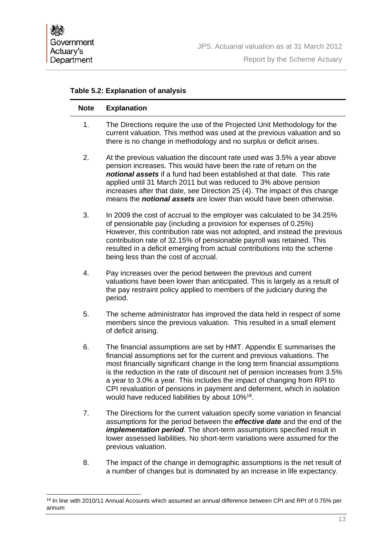#### **Table 5.2: Explanation of analysis**

| <b>Note</b> | <b>Explanation</b>                                                                                                                                                                                                                                                                                                                                                                                                                                                                                                               |
|-------------|----------------------------------------------------------------------------------------------------------------------------------------------------------------------------------------------------------------------------------------------------------------------------------------------------------------------------------------------------------------------------------------------------------------------------------------------------------------------------------------------------------------------------------|
| 1.          | The Directions require the use of the Projected Unit Methodology for the<br>current valuation. This method was used at the previous valuation and so<br>there is no change in methodology and no surplus or deficit arises.                                                                                                                                                                                                                                                                                                      |
| 2.          | At the previous valuation the discount rate used was 3.5% a year above<br>pension increases. This would have been the rate of return on the<br>notional assets if a fund had been established at that date. This rate<br>applied until 31 March 2011 but was reduced to 3% above pension<br>increases after that date, see Direction 25 (4). The impact of this change<br>means the <i>notional assets</i> are lower than would have been otherwise.                                                                             |
| 3.          | In 2009 the cost of accrual to the employer was calculated to be 34.25%<br>of pensionable pay (including a provision for expenses of 0.25%)<br>However, this contribution rate was not adopted, and instead the previous<br>contribution rate of 32.15% of pensionable payroll was retained. This<br>resulted in a deficit emerging from actual contributions into the scheme<br>being less than the cost of accrual.                                                                                                            |
| 4.          | Pay increases over the period between the previous and current<br>valuations have been lower than anticipated. This is largely as a result of<br>the pay restraint policy applied to members of the judiciary during the<br>period.                                                                                                                                                                                                                                                                                              |
| 5.          | The scheme administrator has improved the data held in respect of some<br>members since the previous valuation. This resulted in a small element<br>of deficit arising.                                                                                                                                                                                                                                                                                                                                                          |
| 6.          | The financial assumptions are set by HMT. Appendix E summarises the<br>financial assumptions set for the current and previous valuations. The<br>most financially significant change in the long term financial assumptions<br>is the reduction in the rate of discount net of pension increases from 3.5%<br>a year to 3.0% a year. This includes the impact of changing from RPI to<br>CPI revaluation of pensions in payment and deferment, which in isolation<br>would have reduced liabilities by about 10% <sup>18</sup> . |
| 7.          | The Directions for the current valuation specify some variation in financial<br>assumptions for the period between the <i>effective date</i> and the end of the<br>implementation period. The short-term assumptions specified result in<br>lower assessed liabilities. No short-term variations were assumed for the<br>previous valuation.                                                                                                                                                                                     |
| 8.          | The impact of the change in demographic assumptions is the net result of<br>a number of changes but is dominated by an increase in life expectancy.                                                                                                                                                                                                                                                                                                                                                                              |

 $\overline{a}$ <sup>18</sup> In line with 2010/11 Annual Accounts which assumed an annual difference between CPI and RPI of 0.75% per annum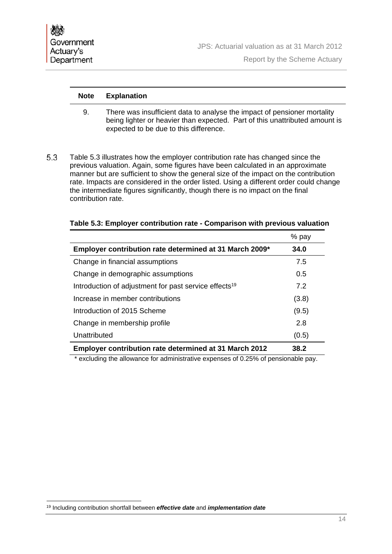Report by the Scheme Actuary

#### **Note Explanation**

- 9. There was insufficient data to analyse the impact of pensioner mortality being lighter or heavier than expected. Part of this unattributed amount is expected to be due to this difference.
- Table 5.3 illustrates how the employer contribution rate has changed since the previous valuation. Again, some figures have been calculated in an approximate manner but are sufficient to show the general size of the impact on the contribution rate. Impacts are considered in the order listed. Using a different order could change the intermediate figures significantly, though there is no impact on the final contribution rate.

|                                                                   | % pay |
|-------------------------------------------------------------------|-------|
| Employer contribution rate determined at 31 March 2009*           | 34.0  |
| Change in financial assumptions                                   | 7.5   |
| Change in demographic assumptions                                 | 0.5   |
| Introduction of adjustment for past service effects <sup>19</sup> | 7.2   |
| Increase in member contributions                                  | (3.8) |
| Introduction of 2015 Scheme                                       | (9.5) |
| Change in membership profile                                      | 2.8   |
| Unattributed                                                      | (0.5) |
| <b>Employer contribution rate determined at 31 March 2012</b>     | 38.2  |

#### **Table 5.3: Employer contribution rate - Comparison with previous valuation**

\* excluding the allowance for administrative expenses of 0.25% of pensionable pay.

 19 Including contribution shortfall between *effective date* and *implementation date*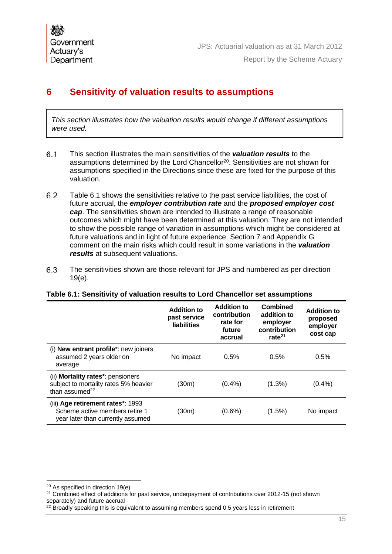# **6 Sensitivity of valuation results to assumptions**

*This section illustrates how the valuation results would change if different assumptions were used.*

- This section illustrates the main sensitivities of the *valuation results* to the assumptions determined by the Lord Chancellor<sup>20</sup>. Sensitivities are not shown for assumptions specified in the Directions since these are fixed for the purpose of this valuation.
- Table 6.1 shows the sensitivities relative to the past service liabilities, the cost of future accrual, the *employer contribution rate* and the *proposed employer cost cap*. The sensitivities shown are intended to illustrate a range of reasonable outcomes which might have been determined at this valuation. They are not intended to show the possible range of variation in assumptions which might be considered at future valuations and in light of future experience. Section 7 and Appendix G comment on the main risks which could result in some variations in the *valuation results* at subsequent valuations.
- The sensitivities shown are those relevant for JPS and numbered as per direction 19(e).

#### **Table 6.1: Sensitivity of valuation results to Lord Chancellor set assumptions**

|                                                                                                          | <b>Addition to</b><br>past service<br><b>liabilities</b> | <b>Addition to</b><br>contribution<br>rate for<br>future<br>accrual | <b>Combined</b><br>addition to<br>employer<br>contribution<br>rate $^{21}$ | <b>Addition to</b><br>proposed<br>employer<br>cost cap |
|----------------------------------------------------------------------------------------------------------|----------------------------------------------------------|---------------------------------------------------------------------|----------------------------------------------------------------------------|--------------------------------------------------------|
| (i) New entrant profile*: new joiners<br>assumed 2 years older on<br>average                             | No impact                                                | 0.5%                                                                | 0.5%                                                                       | 0.5%                                                   |
| (ii) Mortality rates*: pensioners<br>subject to mortality rates 5% heavier<br>than assumed <sup>22</sup> | (30m)                                                    | $(0.4\%)$                                                           | $(1.3\%)$                                                                  | $(0.4\%)$                                              |
| (iii) Age retirement rates*: 1993<br>Scheme active members retire 1<br>year later than currently assumed | (30m)                                                    | $(0.6\%)$                                                           | $(1.5\%)$                                                                  | No impact                                              |

<sup>&</sup>lt;sup>20</sup> As specified in direction 19(e)

<sup>&</sup>lt;sup>21</sup> Combined effect of additions for past service, underpayment of contributions over 2012-15 (not shown separately) and future accrual

 $22$  Broadly speaking this is equivalent to assuming members spend 0.5 years less in retirement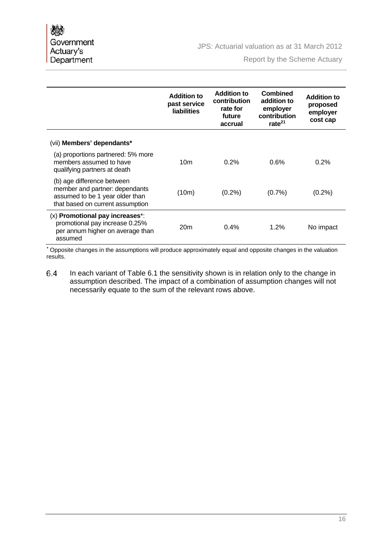Report by the Scheme Actuary

|                                                                                                                                     | <b>Addition to</b><br>past service<br><b>liabilities</b> | <b>Addition to</b><br>contribution<br>rate for<br>future<br>accrual | <b>Combined</b><br>addition to<br>employer<br>contribution<br>rate $^{21}$ | <b>Addition to</b><br>proposed<br>employer<br>cost cap |
|-------------------------------------------------------------------------------------------------------------------------------------|----------------------------------------------------------|---------------------------------------------------------------------|----------------------------------------------------------------------------|--------------------------------------------------------|
| (vii) Members' dependants*                                                                                                          |                                                          |                                                                     |                                                                            |                                                        |
| (a) proportions partnered: 5% more<br>members assumed to have<br>qualifying partners at death                                       | 10 <sub>m</sub>                                          | 0.2%                                                                | 0.6%                                                                       | 0.2%                                                   |
| (b) age difference between<br>member and partner: dependants<br>assumed to be 1 year older than<br>that based on current assumption | (10m)                                                    | $(0.2\%)$                                                           | $(0.7\%)$                                                                  | $(0.2\%)$                                              |
| (x) Promotional pay increases*:<br>promotional pay increase 0.25%<br>per annum higher on average than<br>assumed                    | 20 <sub>m</sub>                                          | 0.4%                                                                | 1.2%                                                                       | No impact                                              |

**\*** Opposite changes in the assumptions will produce approximately equal and opposite changes in the valuation results.

6.4 In each variant of Table 6.1 the sensitivity shown is in relation only to the change in assumption described. The impact of a combination of assumption changes will not necessarily equate to the sum of the relevant rows above.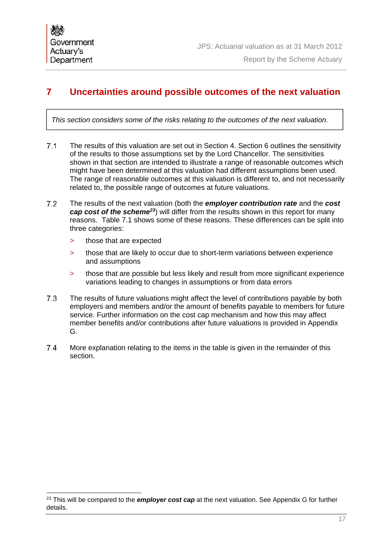# **7 Uncertainties around possible outcomes of the next valuation**

*This section considers some of the risks relating to the outcomes of the next valuation.*

- The results of this valuation are set out in Section 4. Section 6 outlines the sensitivity of the results to those assumptions set by the Lord Chancellor. The sensitivities shown in that section are intended to illustrate a range of reasonable outcomes which might have been determined at this valuation had different assumptions been used. The range of reasonable outcomes at this valuation is different to, and not necessarily related to, the possible range of outcomes at future valuations.
- The results of the next valuation (both the *employer contribution rate* and the *cost cap cost of the scheme23*) will differ from the results shown in this report for many reasons. Table 7.1 shows some of these reasons. These differences can be split into three categories:
	- > those that are expected
	- > those that are likely to occur due to short-term variations between experience and assumptions
	- > those that are possible but less likely and result from more significant experience variations leading to changes in assumptions or from data errors
- The results of future valuations might affect the level of contributions payable by both employers and members and/or the amount of benefits payable to members for future service. Further information on the cost cap mechanism and how this may affect member benefits and/or contributions after future valuations is provided in Appendix G.
- 7.4 More explanation relating to the items in the table is given in the remainder of this section.

<sup>&</sup>lt;sup>23</sup> This will be compared to the *employer cost cap* at the next valuation. See Appendix G for further details.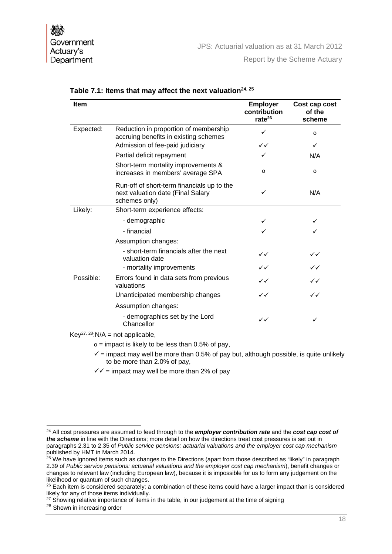| <b>Item</b> |                                                                                                  | <b>Employer</b><br>contribution<br>rate $^{26}$ | Cost cap cost<br>of the<br>scheme |
|-------------|--------------------------------------------------------------------------------------------------|-------------------------------------------------|-----------------------------------|
| Expected:   | Reduction in proportion of membership<br>accruing benefits in existing schemes                   | ✓                                               | $\Omega$                          |
|             | Admission of fee-paid judiciary                                                                  | ✓✓                                              | ✓                                 |
|             | Partial deficit repayment                                                                        | ✓                                               | N/A                               |
|             | Short-term mortality improvements &<br>increases in members' average SPA                         | 0                                               | $\mathbf 0$                       |
|             | Run-off of short-term financials up to the<br>next valuation date (Final Salary<br>schemes only) | ✓                                               | N/A                               |
| Likely:     | Short-term experience effects:                                                                   |                                                 |                                   |
|             | - demographic                                                                                    |                                                 |                                   |
|             | - financial                                                                                      |                                                 |                                   |
|             | Assumption changes:                                                                              |                                                 |                                   |
|             | - short-term financials after the next<br>valuation date                                         | ✓✓                                              | $\checkmark$                      |
|             | - mortality improvements                                                                         | $\checkmark$                                    | $\checkmark$                      |
| Possible:   | Errors found in data sets from previous<br>valuations                                            | ✓✓                                              | ✓✓                                |
|             | Unanticipated membership changes                                                                 | ✓✓                                              | $\checkmark$                      |
|             | Assumption changes:                                                                              |                                                 |                                   |
|             | - demographics set by the Lord<br>Chancellor                                                     | $\checkmark$                                    | ✓                                 |

| Table 7.1: Items that may affect the next valuation $^{24,\,25}$ |
|------------------------------------------------------------------|
|------------------------------------------------------------------|

 $Key^{27, 28}: N/A = not applicable,$ 

 $o =$  impact is likely to be less than 0.5% of pay,

 $\checkmark$  = impact may well be more than 0.5% of pay but, although possible, is quite unlikely to be more than 2.0% of pay,

 $\sqrt{2}$  = impact may well be more than 2% of pay

 $\overline{a}$ 

<sup>24</sup> All cost pressures are assumed to feed through to the *employer contribution rate* and the *cost cap cost of the scheme* in line with the Directions; more detail on how the directions treat cost pressures is set out in paragraphs 2.31 to 2.35 of *Public service pensions: actuarial valuations and the employer cost cap mechanism* published by HMT in March 2014.

 $^{25}$  We have ignored items such as changes to the Directions (apart from those described as "likely" in paragraph 2.39 of *Public service pensions: actuarial valuations and the employer cost cap mechanism*), benefit changes or changes to relevant law (including European law), because it is impossible for us to form any judgement on the likelihood or quantum of such changes.

<sup>&</sup>lt;sup>26</sup> Each item is considered separately; a combination of these items could have a larger impact than is considered likely for any of those items individually.

 $27$  Showing relative importance of items in the table, in our judgement at the time of signing

<sup>&</sup>lt;sup>28</sup> Shown in increasing order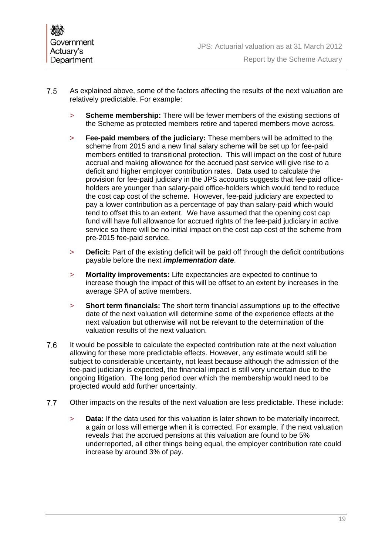- As explained above, some of the factors affecting the results of the next valuation are relatively predictable. For example:
	- > **Scheme membership:** There will be fewer members of the existing sections of the Scheme as protected members retire and tapered members move across.
	- > **Fee-paid members of the judiciary:** These members will be admitted to the scheme from 2015 and a new final salary scheme will be set up for fee-paid members entitled to transitional protection. This will impact on the cost of future accrual and making allowance for the accrued past service will give rise to a deficit and higher employer contribution rates. Data used to calculate the provision for fee-paid judiciary in the JPS accounts suggests that fee-paid officeholders are younger than salary-paid office-holders which would tend to reduce the cost cap cost of the scheme. However, fee-paid judiciary are expected to pay a lower contribution as a percentage of pay than salary-paid which would tend to offset this to an extent. We have assumed that the opening cost cap fund will have full allowance for accrued rights of the fee-paid judiciary in active service so there will be no initial impact on the cost cap cost of the scheme from pre-2015 fee-paid service.
	- > **Deficit:** Part of the existing deficit will be paid off through the deficit contributions payable before the next *implementation date*.
	- > **Mortality improvements:** Life expectancies are expected to continue to increase though the impact of this will be offset to an extent by increases in the average SPA of active members.
	- > **Short term financials:** The short term financial assumptions up to the effective date of the next valuation will determine some of the experience effects at the next valuation but otherwise will not be relevant to the determination of the valuation results of the next valuation.
- It would be possible to calculate the expected contribution rate at the next valuation allowing for these more predictable effects. However, any estimate would still be subject to considerable uncertainty, not least because although the admission of the fee-paid judiciary is expected, the financial impact is still very uncertain due to the ongoing litigation. The long period over which the membership would need to be projected would add further uncertainty.
- 7.7 Other impacts on the results of the next valuation are less predictable. These include:
	- > **Data:** If the data used for this valuation is later shown to be materially incorrect, a gain or loss will emerge when it is corrected. For example, if the next valuation reveals that the accrued pensions at this valuation are found to be 5% underreported, all other things being equal, the employer contribution rate could increase by around 3% of pay.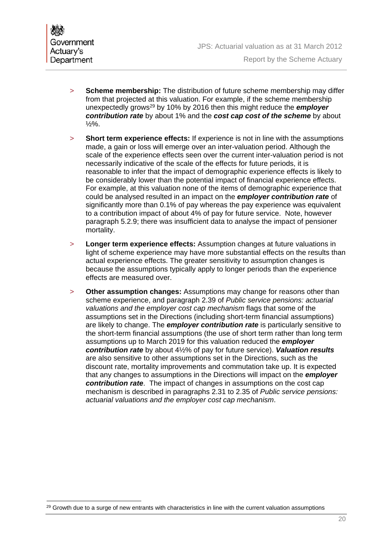- > **Scheme membership:** The distribution of future scheme membership may differ from that projected at this valuation. For example, if the scheme membership unexpectedly grows29 by 10% by 2016 then this might reduce the *employer contribution rate* by about 1% and the *cost cap cost of the scheme* by about ½%.
- > **Short term experience effects:** If experience is not in line with the assumptions made, a gain or loss will emerge over an inter-valuation period. Although the scale of the experience effects seen over the current inter-valuation period is not necessarily indicative of the scale of the effects for future periods, it is reasonable to infer that the impact of demographic experience effects is likely to be considerably lower than the potential impact of financial experience effects. For example, at this valuation none of the items of demographic experience that could be analysed resulted in an impact on the *employer contribution rate* of significantly more than 0.1% of pay whereas the pay experience was equivalent to a contribution impact of about 4% of pay for future service. Note, however paragraph 5.2.9; there was insufficient data to analyse the impact of pensioner mortality.
- > **Longer term experience effects:** Assumption changes at future valuations in light of scheme experience may have more substantial effects on the results than actual experience effects. The greater sensitivity to assumption changes is because the assumptions typically apply to longer periods than the experience effects are measured over.
- > **Other assumption changes:** Assumptions may change for reasons other than scheme experience, and paragraph 2.39 of *Public service pensions: actuarial valuations and the employer cost cap mechanism* flags that some of the assumptions set in the Directions (including short-term financial assumptions) are likely to change. The *employer contribution rate* is particularly sensitive to the short-term financial assumptions (the use of short term rather than long term assumptions up to March 2019 for this valuation reduced the *employer contribution rate* by about 4½% of pay for future service). *Valuation results* are also sensitive to other assumptions set in the Directions, such as the discount rate, mortality improvements and commutation take up. It is expected that any changes to assumptions in the Directions will impact on the *employer contribution rate*. The impact of changes in assumptions on the cost cap mechanism is described in paragraphs 2.31 to 2.35 of *Public service pensions: actuarial valuations and the employer cost cap mechanism*.

Growth due to a surge of new entrants with characteristics in line with the current valuation assumptions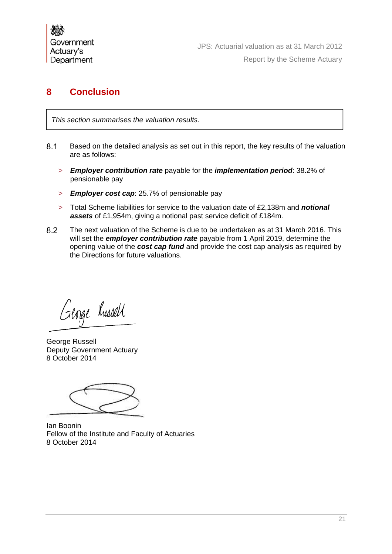# **8 Conclusion**

*This section summarises the valuation results.*

- Based on the detailed analysis as set out in this report, the key results of the valuation are as follows:
	- > *Employer contribution rate* payable for the *implementation period*: 38.2% of pensionable pay
	- > *Employer cost cap*: 25.7% of pensionable pay
	- > Total Scheme liabilities for service to the valuation date of £2,138m and *notional assets* of £1,954m, giving a notional past service deficit of £184m.
- The next valuation of the Scheme is due to be undertaken as at 31 March 2016. This will set the *employer contribution rate* payable from 1 April 2019, determine the opening value of the *cost cap fund* and provide the cost cap analysis as required by the Directions for future valuations.

George Russell

George Russell Deputy Government Actuary 8 October 2014

Ian Boonin Fellow of the Institute and Faculty of Actuaries 8 October 2014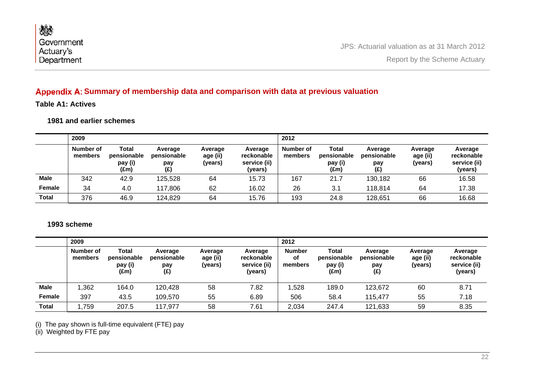| 燃                       |                                              |
|-------------------------|----------------------------------------------|
| Government<br>Actuary's | JPS: Actuarial valuation as at 31 March 2012 |
| Department              | Report by the Scheme Actuary                 |

## Appendix A: Summary of membership data and comparison with data at previous valuation

**Table A1: Actives** 

**1981 and earlier schemes** 

|              | 2009                 |                                         |                                      |                                |                                                  | 2012                 |                                                  |                                      |                                |                                                  |
|--------------|----------------------|-----------------------------------------|--------------------------------------|--------------------------------|--------------------------------------------------|----------------------|--------------------------------------------------|--------------------------------------|--------------------------------|--------------------------------------------------|
|              | Number of<br>members | Total<br>pensionable<br>pay (i)<br>(£m) | Average<br>pensionable<br>pay<br>(E) | Average<br>age (ii)<br>(years) | Average<br>reckonable<br>service (ii)<br>(years) | Number of<br>members | Total<br>pensionable<br>pay (i)<br>$(\text{Em})$ | Average<br>pensionable<br>pay<br>(E) | Average<br>age (ii)<br>(vears) | Average<br>reckonable<br>service (ii)<br>(years) |
| <b>Male</b>  | 342                  | 42.9                                    | 125,528                              | 64                             | 15.73                                            | 167                  | 21.7                                             | 130,182                              | 66                             | 16.58                                            |
| Female       | 34                   | 4.0                                     | 117,806                              | 62                             | 16.02                                            | 26                   | 3.1                                              | 118,814                              | 64                             | 17.38                                            |
| <b>Total</b> | 376                  | 46.9                                    | 124,829                              | 64                             | 15.76                                            | 193                  | 24.8                                             | 128,651                              | 66                             | 16.68                                            |

#### **1993 scheme**

|              | 2009                 |                                                  |                                      |                                |                                                  | 2012                           |                                         |                                      |                                |                                                  |
|--------------|----------------------|--------------------------------------------------|--------------------------------------|--------------------------------|--------------------------------------------------|--------------------------------|-----------------------------------------|--------------------------------------|--------------------------------|--------------------------------------------------|
|              | Number of<br>members | Total<br>pensionable<br>pay (i)<br>$(\text{Em})$ | Average<br>pensionable<br>pay<br>(E) | Average<br>age (ii)<br>(years) | Average<br>reckonable<br>service (ii)<br>(years) | <b>Number</b><br>of<br>members | Total<br>pensionable<br>pay (i)<br>(£m) | Average<br>pensionable<br>pay<br>(E) | Average<br>age (ii)<br>(vears) | Average<br>reckonable<br>service (ii)<br>(years) |
| Male         | ,362                 | 164.0                                            | 120,428                              | 58                             | 7.82                                             | ,528                           | 189.0                                   | 123,672                              | 60                             | 8.71                                             |
| Female       | 397                  | 43.5                                             | 109,570                              | 55                             | 6.89                                             | 506                            | 58.4                                    | 115,477                              | 55                             | 7.18                                             |
| <b>Total</b> | ,759                 | 207.5                                            | 117,977                              | 58                             | 7.61                                             | 2,034                          | 247.4                                   | 121,633                              | 59                             | 8.35                                             |

(i) The pay shown is full-time equivalent (FTE) pay

(ii) Weighted by FTE pay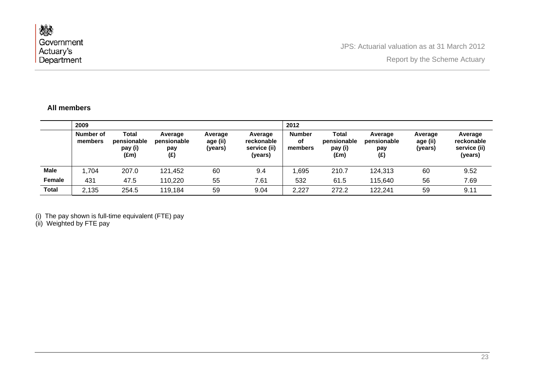#### **All members**

|              | 2009                 |                                                  |                                      |                                |                                                  | 2012                           |                                         |                                      |                                |                                                  |
|--------------|----------------------|--------------------------------------------------|--------------------------------------|--------------------------------|--------------------------------------------------|--------------------------------|-----------------------------------------|--------------------------------------|--------------------------------|--------------------------------------------------|
|              | Number of<br>members | Total<br>pensionable<br>pay (i)<br>$(\text{Em})$ | Average<br>pensionable<br>pay<br>(E) | Average<br>age (ii)<br>(years) | Average<br>reckonable<br>service (ii)<br>(years) | <b>Number</b><br>of<br>members | Total<br>pensionable<br>pay (i)<br>(£m) | Average<br>pensionable<br>pay<br>(E) | Average<br>age (ii)<br>(years) | Average<br>reckonable<br>service (ii)<br>(years) |
| <b>Male</b>  | ,704                 | 207.0                                            | 121,452                              | 60                             | 9.4                                              | ,695                           | 210.7                                   | 124,313                              | 60                             | 9.52                                             |
| Female       | 431                  | 47.5                                             | 110,220                              | 55                             | 7.61                                             | 532                            | 61.5                                    | 115,640                              | 56                             | 7.69                                             |
| <b>Total</b> | 2,135                | 254.5                                            | 119,184                              | 59                             | 9.04                                             | 2,227                          | 272.2                                   | 122,241                              | 59                             | 9.11                                             |

(i) The pay shown is full-time equivalent (FTE) pay

(ii) Weighted by FTE pay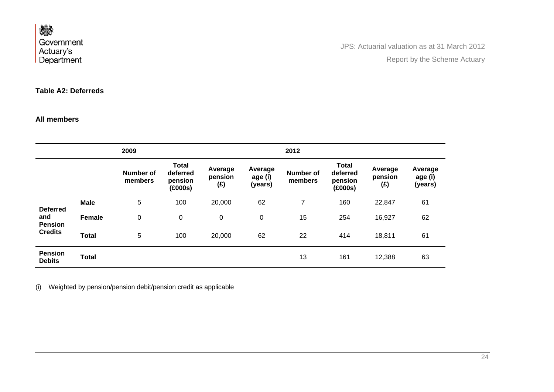#### **Table A2: Deferreds**

#### **All members**

|                                                            |               | 2009                 |                                                |                           |                               | 2012                 |                                                |                           |                               |
|------------------------------------------------------------|---------------|----------------------|------------------------------------------------|---------------------------|-------------------------------|----------------------|------------------------------------------------|---------------------------|-------------------------------|
|                                                            |               | Number of<br>members | <b>Total</b><br>deferred<br>pension<br>(£000s) | Average<br>pension<br>(E) | Average<br>age (i)<br>(years) | Number of<br>members | <b>Total</b><br>deferred<br>pension<br>(£000s) | Average<br>pension<br>(E) | Average<br>age (i)<br>(years) |
| <b>Deferred</b><br>and<br><b>Pension</b><br><b>Credits</b> | <b>Male</b>   | 5                    | 100                                            | 20,000                    | 62                            | $\overline{ }$       | 160                                            | 22,847                    | 61                            |
|                                                            | <b>Female</b> | 0                    | $\mathbf 0$                                    | 0                         | $\boldsymbol{0}$              | 15                   | 254                                            | 16,927                    | 62                            |
|                                                            | <b>Total</b>  | 5                    | 100                                            | 20,000                    | 62                            | 22                   | 414                                            | 18,811                    | 61                            |
| <b>Pension</b><br><b>Debits</b>                            | <b>Total</b>  |                      |                                                |                           |                               | 13                   | 161                                            | 12,388                    | 63                            |

(i) Weighted by pension/pension debit/pension credit as applicable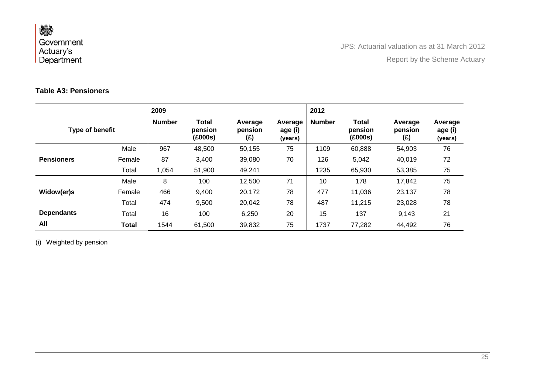## **Table A3: Pensioners**

|                   |              | 2009          |                                    |                           |                               | 2012          |                             |                                   |                               |
|-------------------|--------------|---------------|------------------------------------|---------------------------|-------------------------------|---------------|-----------------------------|-----------------------------------|-------------------------------|
| Type of benefit   |              | <b>Number</b> | <b>Total</b><br>pension<br>(£000s) | Average<br>pension<br>(£) | Average<br>age (i)<br>(years) | <b>Number</b> | Total<br>pension<br>(£000s) | Average<br>pension<br>$(\hat{f})$ | Average<br>age (i)<br>(years) |
|                   | Male         | 967           | 48,500                             | 50,155                    | 75                            | 1109          | 60,888                      | 54,903                            | 76                            |
| <b>Pensioners</b> | Female       | 87            | 3,400                              | 39,080                    | 70                            | 126           | 5,042                       | 40,019                            | 72                            |
|                   | Total        | 1,054         | 51,900                             | 49,241                    |                               | 1235          | 65,930                      | 53,385                            | 75                            |
|                   | Male         | 8             | 100                                | 12,500                    | 71                            | 10            | 178                         | 17,842                            | 75                            |
| Widow(er)s        | Female       | 466           | 9,400                              | 20,172                    | 78                            | 477           | 11,036                      | 23,137                            | 78                            |
|                   | Total        | 474           | 9,500                              | 20,042                    | 78                            | 487           | 11,215                      | 23,028                            | 78                            |
| <b>Dependants</b> | Total        | 16            | 100                                | 6,250                     | 20                            | 15            | 137                         | 9,143                             | 21                            |
| All               | <b>Total</b> | 1544          | 61,500                             | 39,832                    | 75                            | 1737          | 77,282                      | 44,492                            | 76                            |

(i) Weighted by pension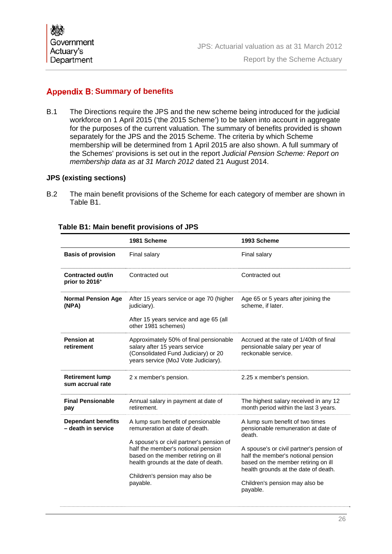## **Appendix B: Summary of benefits**

B.1 The Directions require the JPS and the new scheme being introduced for the judicial workforce on 1 April 2015 ('the 2015 Scheme') to be taken into account in aggregate for the purposes of the current valuation. The summary of benefits provided is shown separately for the JPS and the 2015 Scheme. The criteria by which Scheme membership will be determined from 1 April 2015 are also shown. A full summary of the Schemes' provisions is set out in the report *Judicial Pension Scheme: Report on membership data as at 31 March 2012* dated 21 August 2014.

#### **JPS (existing sections)**

B.2 The main benefit provisions of the Scheme for each category of member are shown in Table B1.

|                                                                                                                                                                                          | 1981 Scheme                                                                                                                                                   | 1993 Scheme                                                                                                                                                   |  |  |
|------------------------------------------------------------------------------------------------------------------------------------------------------------------------------------------|---------------------------------------------------------------------------------------------------------------------------------------------------------------|---------------------------------------------------------------------------------------------------------------------------------------------------------------|--|--|
| <b>Basis of provision</b>                                                                                                                                                                | Final salary                                                                                                                                                  | Final salary                                                                                                                                                  |  |  |
| Contracted out/in<br>prior to 2016 <sup>+</sup>                                                                                                                                          | Contracted out                                                                                                                                                | Contracted out                                                                                                                                                |  |  |
| <b>Normal Pension Age</b><br>(NPA)                                                                                                                                                       | After 15 years service or age 70 (higher<br>judiciary).                                                                                                       | Age 65 or 5 years after joining the<br>scheme, if later.                                                                                                      |  |  |
|                                                                                                                                                                                          | After 15 years service and age 65 (all<br>other 1981 schemes)                                                                                                 |                                                                                                                                                               |  |  |
| <b>Pension at</b><br>Approximately 50% of final pensionable<br>retirement<br>salary after 15 years service<br>(Consolidated Fund Judiciary) or 20<br>years service (MoJ Vote Judiciary). |                                                                                                                                                               | Accrued at the rate of 1/40th of final<br>pensionable salary per year of<br>reckonable service.                                                               |  |  |
| <b>Retirement lump</b><br>sum accrual rate                                                                                                                                               | 2 x member's pension.                                                                                                                                         | 2.25 x member's pension.                                                                                                                                      |  |  |
| <b>Final Pensionable</b><br>pay                                                                                                                                                          | Annual salary in payment at date of<br>retirement.                                                                                                            | The highest salary received in any 12<br>month period within the last 3 years.                                                                                |  |  |
| <b>Dependant benefits</b><br>- death in service                                                                                                                                          | A lump sum benefit of pensionable<br>remuneration at date of death.                                                                                           | A lump sum benefit of two times<br>pensionable remuneration at date of<br>death.                                                                              |  |  |
|                                                                                                                                                                                          | A spouse's or civil partner's pension of<br>half the member's notional pension<br>based on the member retiring on ill<br>health grounds at the date of death. | A spouse's or civil partner's pension of<br>half the member's notional pension<br>based on the member retiring on ill<br>health grounds at the date of death. |  |  |
|                                                                                                                                                                                          | Children's pension may also be<br>payable.                                                                                                                    | Children's pension may also be<br>payable.                                                                                                                    |  |  |

#### **Table B1: Main benefit provisions of JPS**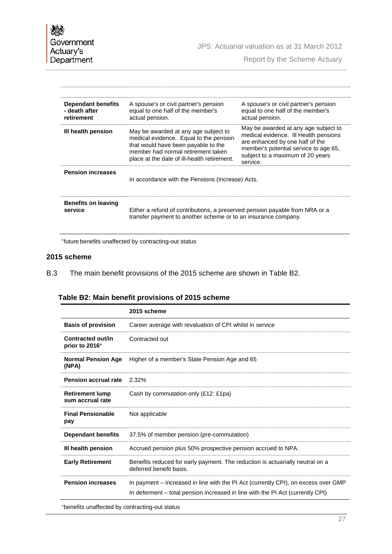JPS: Actuarial valuation as at 31 March 2012

Report by the Scheme Actuary

| Dependant benefits<br>- death after<br>retirement | A spouse's or civil partner's pension<br>equal to one half of the member's<br>actual pension.                                                                                                              | A spouse's or civil partner's pension<br>equal to one half of the member's<br>actual pension.                                                                                                             |  |  |  |  |
|---------------------------------------------------|------------------------------------------------------------------------------------------------------------------------------------------------------------------------------------------------------------|-----------------------------------------------------------------------------------------------------------------------------------------------------------------------------------------------------------|--|--|--|--|
| III health pension                                | May be awarded at any age subject to<br>medical evidence. Equal to the pension<br>that would have been payable to the<br>member had normal retirement taken<br>place at the date of ill-health retirement. | May be awarded at any age subject to<br>medical evidence. Ill Health pensions<br>are enhanced by one half of the<br>member's potential service to age 65.<br>subject to a maximum of 20 years<br>service. |  |  |  |  |
| <b>Pension increases</b>                          | In accordance with the Pensions (Increase) Acts.                                                                                                                                                           |                                                                                                                                                                                                           |  |  |  |  |
| Benefits on leaving<br>service                    | Either a refund of contributions, a preserved pension payable from NRA or a<br>transfer payment to another scheme or to an insurance company.                                                              |                                                                                                                                                                                                           |  |  |  |  |

+future benefits unaffected by contracting-out status

#### **2015 scheme**

B.3 The main benefit provisions of the 2015 scheme are shown in Table B2.

| Table B2: Main benefit provisions of 2015 scheme |  |  |  |  |
|--------------------------------------------------|--|--|--|--|
|--------------------------------------------------|--|--|--|--|

|                                            | 2015 scheme                                                                                              |
|--------------------------------------------|----------------------------------------------------------------------------------------------------------|
| <b>Basis of provision</b>                  | Career average with revaluation of CPI whilst in service                                                 |
| Contracted out/in<br>prior to 2016+        | Contracted out                                                                                           |
| <b>Normal Pension Age</b><br>(NPA)         | Higher of a member's State Pension Age and 65                                                            |
| <b>Pension accrual rate</b>                | 2.32%                                                                                                    |
| <b>Retirement lump</b><br>sum accrual rate | Cash by commutation only (£12: £1pa)                                                                     |
| <b>Final Pensionable</b><br>pay            | Not applicable                                                                                           |
| <b>Dependant benefits</b>                  | 37.5% of member pension (pre-commutation)                                                                |
| III health pension                         | Accrued pension plus 50% prospective pension accrued to NPA.                                             |
| <b>Early Retirement</b>                    | Benefits reduced for early payment. The reduction is actuarially neutral on a<br>deferred benefit basis. |
| <b>Pension increases</b>                   | In payment – increased in line with the PI Act (currently CPI), on excess over GMP                       |
|                                            | In deferment – total pension increased in line with the PI Act (currently CPI)                           |

+benefits unaffected by contracting-out status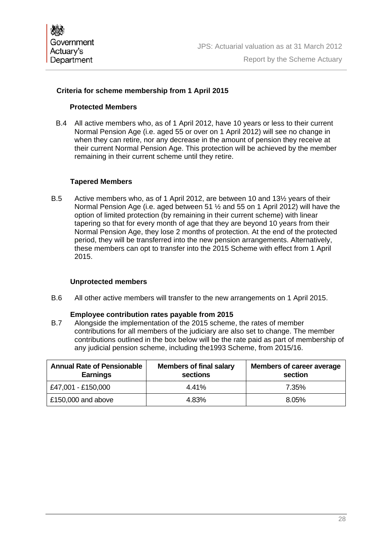#### **Criteria for scheme membership from 1 April 2015**

#### **Protected Members**

B.4 All active members who, as of 1 April 2012, have 10 years or less to their current Normal Pension Age (i.e. aged 55 or over on 1 April 2012) will see no change in when they can retire, nor any decrease in the amount of pension they receive at their current Normal Pension Age. This protection will be achieved by the member remaining in their current scheme until they retire.

#### **Tapered Members**

B.5 Active members who, as of 1 April 2012, are between 10 and 13½ years of their Normal Pension Age (i.e. aged between 51 ½ and 55 on 1 April 2012) will have the option of limited protection (by remaining in their current scheme) with linear tapering so that for every month of age that they are beyond 10 years from their Normal Pension Age, they lose 2 months of protection. At the end of the protected period, they will be transferred into the new pension arrangements. Alternatively, these members can opt to transfer into the 2015 Scheme with effect from 1 April 2015.

#### **Unprotected members**

B.6 All other active members will transfer to the new arrangements on 1 April 2015.

#### **Employee contribution rates payable from 2015**

B.7 Alongside the implementation of the 2015 scheme, the rates of member contributions for all members of the judiciary are also set to change. The member contributions outlined in the box below will be the rate paid as part of membership of any judicial pension scheme, including the1993 Scheme, from 2015/16.

| <b>Annual Rate of Pensionable</b><br><b>Earnings</b> | <b>Members of final salary</b><br>sections | <b>Members of career average</b><br>section |
|------------------------------------------------------|--------------------------------------------|---------------------------------------------|
| E47,001 - £150,000                                   | 4.41%                                      | 7.35%                                       |
| £150,000 and above                                   | 4.83%                                      | 8.05%                                       |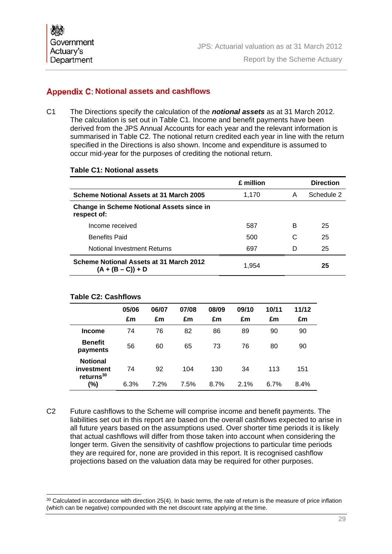## **Appendix C: Notional assets and cashflows**

C1 The Directions specify the calculation of the *notional assets* as at 31 March 2012. The calculation is set out in Table C1. Income and benefit payments have been derived from the JPS Annual Accounts for each year and the relevant information is summarised in Table C2. The notional return credited each year in line with the return specified in the Directions is also shown. Income and expenditure is assumed to occur mid-year for the purposes of crediting the notional return.

#### **Table C1: Notional assets**

|                                                                 | £ million |   | <b>Direction</b> |
|-----------------------------------------------------------------|-----------|---|------------------|
| Scheme Notional Assets at 31 March 2005                         | 1,170     | A | Schedule 2       |
| <b>Change in Scheme Notional Assets since in</b><br>respect of: |           |   |                  |
| Income received                                                 | 587       | В | 25               |
| <b>Benefits Paid</b>                                            | 500       | C | 25               |
| Notional Investment Returns                                     | 697       | D | 25               |
| Scheme Notional Assets at 31 March 2012<br>$(A + (B - C)) + D$  | 1.954     |   | 25               |

#### **Table C2: Cashflows**

 $\overline{a}$ 

|                                                        | 05/06<br>£m | 06/07<br>£m | 07/08<br>£m | 08/09<br>£m | 09/10<br>£m | 10/11<br>£m | 11/12<br>£m |
|--------------------------------------------------------|-------------|-------------|-------------|-------------|-------------|-------------|-------------|
| <b>Income</b>                                          | 74          | 76          | 82          | 86          | 89          | 90          | 90          |
| <b>Benefit</b><br>payments                             | 56          | 60          | 65          | 73          | 76          | 80          | 90          |
| <b>Notional</b><br>investment<br>returns <sup>30</sup> | 74          | 92          | 104         | 130         | 34          | 113         | 151         |
| (%)                                                    | 6.3%        | 7.2%        | 7.5%        | 8.7%        | 2.1%        | 6.7%        | 8.4%        |

C2 Future cashflows to the Scheme will comprise income and benefit payments. The liabilities set out in this report are based on the overall cashflows expected to arise in all future years based on the assumptions used. Over shorter time periods it is likely that actual cashflows will differ from those taken into account when considering the longer term. Given the sensitivity of cashflow projections to particular time periods they are required for, none are provided in this report. It is recognised cashflow projections based on the valuation data may be required for other purposes.

 $30$  Calculated in accordance with direction 25(4). In basic terms, the rate of return is the measure of price inflation (which can be negative) compounded with the net discount rate applying at the time.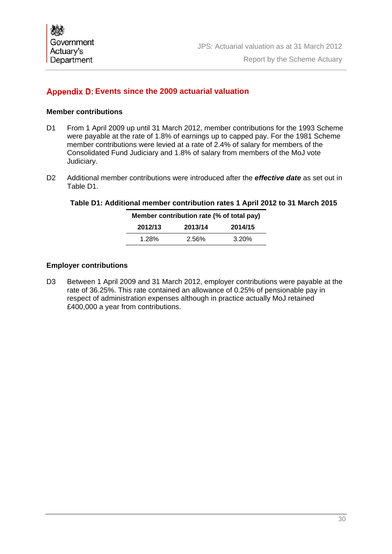## **Appendix D: Events since the 2009 actuarial valuation**

#### **Member contributions**

- D1 From 1 April 2009 up until 31 March 2012, member contributions for the 1993 Scheme were payable at the rate of 1.8% of earnings up to capped pay. For the 1981 Scheme member contributions were levied at a rate of 2.4% of salary for members of the Consolidated Fund Judiciary and 1.8% of salary from members of the MoJ vote Judiciary.
- D2 Additional member contributions were introduced after the *effective date* as set out in Table D1.

#### **Table D1: Additional member contribution rates 1 April 2012 to 31 March 2015**

| Member contribution rate (% of total pay) |       |          |  |  |
|-------------------------------------------|-------|----------|--|--|
| 2012/13<br>2013/14<br>2014/15             |       |          |  |  |
| 1.28%                                     | 2.56% | $3.20\%$ |  |  |

#### **Employer contributions**

D3 Between 1 April 2009 and 31 March 2012, employer contributions were payable at the rate of 36.25%. This rate contained an allowance of 0.25% of pensionable pay in respect of administration expenses although in practice actually MoJ retained £400,000 a year from contributions.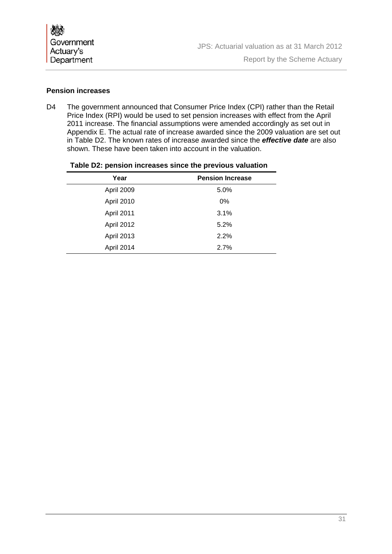| 燃                              |                                              |
|--------------------------------|----------------------------------------------|
| <b>Government</b><br>Actuary's | JPS: Actuarial valuation as at 31 March 2012 |
| Department                     | Report by the Scheme Actuary                 |

#### **Pension increases**

D4 The government announced that Consumer Price Index (CPI) rather than the Retail Price Index (RPI) would be used to set pension increases with effect from the April 2011 increase. The financial assumptions were amended accordingly as set out in Appendix E. The actual rate of increase awarded since the 2009 valuation are set out in Table D2. The known rates of increase awarded since the *effective date* are also shown. These have been taken into account in the valuation.

| Year              | <b>Pension Increase</b> |  |  |
|-------------------|-------------------------|--|--|
| April 2009        | 5.0%                    |  |  |
| April 2010        | $0\%$                   |  |  |
| April 2011        | 3.1%                    |  |  |
| April 2012        | 5.2%                    |  |  |
| <b>April 2013</b> | 2.2%                    |  |  |
| April 2014        | 2.7%                    |  |  |

#### **Table D2: pension increases since the previous valuation**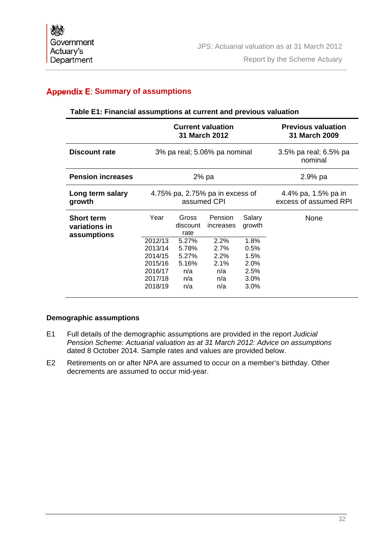## **Appendix E: Summary of assumptions**

#### **Table E1: Financial assumptions at current and previous valuation**

|                                                   | <b>Current valuation</b><br>31 March 2012                      |                                              |                                              |                                              | <b>Previous valuation</b><br><b>31 March 2009</b> |
|---------------------------------------------------|----------------------------------------------------------------|----------------------------------------------|----------------------------------------------|----------------------------------------------|---------------------------------------------------|
| <b>Discount rate</b>                              |                                                                |                                              | 3% pa real; 5.06% pa nominal                 |                                              | 3.5% pa real; 6.5% pa<br>nominal                  |
| <b>Pension increases</b>                          |                                                                |                                              | 2% pa                                        |                                              | $2.9%$ pa                                         |
| Long term salary<br>growth                        | 4.75% pa, 2.75% pa in excess of<br>assumed CPI                 |                                              |                                              | 4.4% pa, 1.5% pa in<br>excess of assumed RPI |                                                   |
| <b>Short term</b><br>variations in<br>assumptions | Year<br>2012/13                                                | Gross<br>discount<br>rate<br>5.27%           | Pension<br>increases<br>2.2%                 | Salary<br>growth<br>1.8%                     | None                                              |
|                                                   | 2013/14<br>2014/15<br>2015/16<br>2016/17<br>2017/18<br>2018/19 | 5.78%<br>5.27%<br>5.16%<br>n/a<br>n/a<br>n/a | 2.7%<br>2.2%<br>$2.1\%$<br>n/a<br>n/a<br>n/a | 0.5%<br>1.5%<br>2.0%<br>2.5%<br>3.0%<br>3.0% |                                                   |

#### **Demographic assumptions**

- E1 Full details of the demographic assumptions are provided in the report *Judicial Pension Scheme: Actuarial valuation as at 31 March 2012: Advice on assumptions* dated 8 October 2014. Sample rates and values are provided below.
- E2 Retirements on or after NPA are assumed to occur on a member's birthday. Other decrements are assumed to occur mid-year.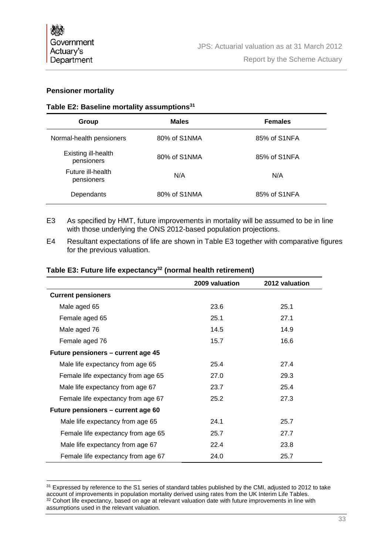#### **Pensioner mortality**

#### **Table E2: Baseline mortality assumptions31**

| Group                             | <b>Males</b> | <b>Females</b> |
|-----------------------------------|--------------|----------------|
| Normal-health pensioners          | 80% of S1NMA | 85% of S1NFA   |
| Existing ill-health<br>pensioners | 80% of S1NMA | 85% of S1NFA   |
| Future ill-health<br>pensioners   | N/A          | N/A            |
| Dependants                        | 80% of S1NMA | 85% of S1NFA   |

- E3 As specified by HMT, future improvements in mortality will be assumed to be in line with those underlying the ONS 2012-based population projections.
- E4 Resultant expectations of life are shown in Table E3 together with comparative figures for the previous valuation.

|                                    | 2009 valuation | 2012 valuation |
|------------------------------------|----------------|----------------|
| <b>Current pensioners</b>          |                |                |
| Male aged 65                       | 23.6           | 25.1           |
| Female aged 65                     | 25.1           | 27.1           |
| Male aged 76                       | 14.5           | 14.9           |
| Female aged 76                     | 15.7           | 16.6           |
| Future pensioners - current age 45 |                |                |
| Male life expectancy from age 65   | 25.4           | 27.4           |
| Female life expectancy from age 65 | 27.0           | 29.3           |
| Male life expectancy from age 67   | 23.7           | 25.4           |
| Female life expectancy from age 67 | 25.2           | 27.3           |
| Future pensioners – current age 60 |                |                |
| Male life expectancy from age 65   | 24.1           | 25.7           |
| Female life expectancy from age 65 | 25.7           | 27.7           |
| Male life expectancy from age 67   | 22.4           | 23.8           |
| Female life expectancy from age 67 | 24.0           | 25.7           |

#### **Table E3: Future life expectancy32 (normal health retirement)**

<sup>&</sup>lt;sup>31</sup> Expressed by reference to the S1 series of standard tables published by the CMI, adjusted to 2012 to take account of improvements in population mortality derived using rates from the UK Interim Life Tables.<br><sup>32</sup> Cohort life expectancy, based on age at relevant valuation date with future improvements in line with assumptions used in the relevant valuation.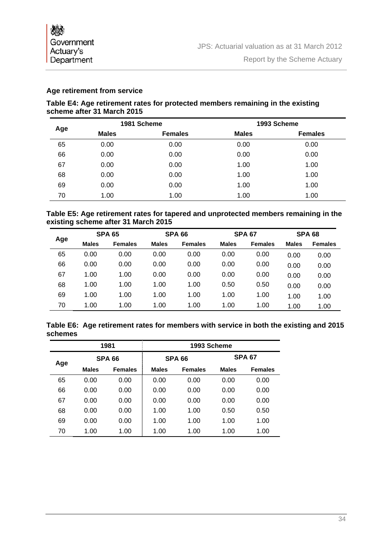#### **Age retirement from service**

#### **Table E4: Age retirement rates for protected members remaining in the existing scheme after 31 March 2015**

|     |              | 1981 Scheme    |              | 1993 Scheme    |
|-----|--------------|----------------|--------------|----------------|
| Age | <b>Males</b> | <b>Females</b> | <b>Males</b> | <b>Females</b> |
| 65  | 0.00         | 0.00           | 0.00         | 0.00           |
| 66  | 0.00         | 0.00           | 0.00         | 0.00           |
| 67  | 0.00         | 0.00           | 1.00         | 1.00           |
| 68  | 0.00         | 0.00           | 1.00         | 1.00           |
| 69  | 0.00         | 0.00           | 1.00         | 1.00           |
| 70  | 1.00         | 1.00           | 1.00         | 1.00           |

#### **Table E5: Age retirement rates for tapered and unprotected members remaining in the existing scheme after 31 March 2015**

|     |              | <b>SPA 65</b>  |              | <b>SPA 66</b>  |              | <b>SPA 67</b>  |              | <b>SPA 68</b>  |
|-----|--------------|----------------|--------------|----------------|--------------|----------------|--------------|----------------|
| Age | <b>Males</b> | <b>Females</b> | <b>Males</b> | <b>Females</b> | <b>Males</b> | <b>Females</b> | <b>Males</b> | <b>Females</b> |
| 65  | 0.00         | 0.00           | 0.00         | 0.00           | 0.00         | 0.00           | 0.00         | 0.00           |
| 66  | 0.00         | 0.00           | 0.00         | 0.00           | 0.00         | 0.00           | 0.00         | 0.00           |
| 67  | 1.00         | 1.00           | 0.00         | 0.00           | 0.00         | 0.00           | 0.00         | 0.00           |
| 68  | 1.00         | 1.00           | 1.00         | 1.00           | 0.50         | 0.50           | 0.00         | 0.00           |
| 69  | 1.00         | 1.00           | 1.00         | 1.00           | 1.00         | 1.00           | 1.00         | 1.00           |
| 70  | 1.00         | 1.00           | 1.00         | 1.00           | 1.00         | 1.00           | 1.00         | 1.00           |

#### **Table E6: Age retirement rates for members with service in both the existing and 2015 schemes**

| 1981 |               | 1993 Scheme    |               |                |               |                |
|------|---------------|----------------|---------------|----------------|---------------|----------------|
| Age  | <b>SPA 66</b> |                | <b>SPA 66</b> |                | <b>SPA 67</b> |                |
|      | <b>Males</b>  | <b>Females</b> | <b>Males</b>  | <b>Females</b> | <b>Males</b>  | <b>Females</b> |
| 65   | 0.00          | 0.00           | 0.00          | 0.00           | 0.00          | 0.00           |
| 66   | 0.00          | 0.00           | 0.00          | 0.00           | 0.00          | 0.00           |
| 67   | 0.00          | 0.00           | 0.00          | 0.00           | 0.00          | 0.00           |
| 68   | 0.00          | 0.00           | 1.00          | 1.00           | 0.50          | 0.50           |
| 69   | 0.00          | 0.00           | 1.00          | 1.00           | 1.00          | 1.00           |
| 70   | 1.00          | 1.00           | 1.00          | 1.00           | 1.00          | 1.00           |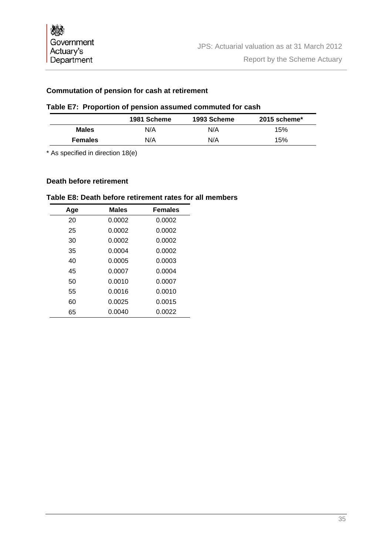#### **Commutation of pension for cash at retirement**

## **Table E7: Proportion of pension assumed commuted for cash**

|                | 1981 Scheme | 1993 Scheme | $2015$ scheme* |
|----------------|-------------|-------------|----------------|
| <b>Males</b>   | N/A         | N/A         | 15%            |
| <b>Females</b> | N/A         | N/A         | 15%            |

\* As specified in direction 18(e)

#### **Death before retirement**

#### **Table E8: Death before retirement rates for all members**

| Age | <b>Males</b> | <b>Females</b> |
|-----|--------------|----------------|
| 20  | 0.0002       | 0.0002         |
| 25  | 0.0002       | 0.0002         |
| 30  | 0.0002       | 0.0002         |
| 35  | 0.0004       | 0.0002         |
| 40  | 0.0005       | 0.0003         |
| 45  | 0.0007       | 0.0004         |
| 50  | 0.0010       | 0.0007         |
| 55  | 0.0016       | 0.0010         |
| 60  | 0.0025       | 0.0015         |
| 65  | 0.0040       | 0.0022         |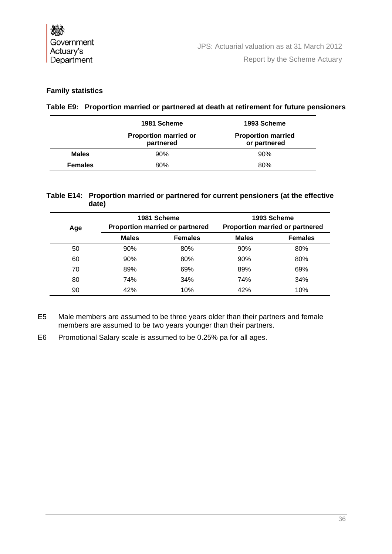#### **Family statistics**

#### **Table E9: Proportion married or partnered at death at retirement for future pensioners**

|                | 1981 Scheme                               | 1993 Scheme                               |
|----------------|-------------------------------------------|-------------------------------------------|
|                | <b>Proportion married or</b><br>partnered | <b>Proportion married</b><br>or partnered |
| <b>Males</b>   | 90%                                       | 90%                                       |
| <b>Females</b> | 80%                                       | 80%                                       |

#### **Table E14: Proportion married or partnered for current pensioners (at the effective date)**

| Age | 1981 Scheme<br><b>Proportion married or partnered</b> |                | 1993 Scheme<br><b>Proportion married or partnered</b> |                |
|-----|-------------------------------------------------------|----------------|-------------------------------------------------------|----------------|
|     | <b>Males</b>                                          | <b>Females</b> | <b>Males</b>                                          | <b>Females</b> |
| 50  | 90%                                                   | 80%            | 90%                                                   | 80%            |
| 60  | 90%                                                   | 80%            | 90%                                                   | 80%            |
| 70  | 89%                                                   | 69%            | 89%                                                   | 69%            |
| 80  | 74%                                                   | 34%            | 74%                                                   | 34%            |
| 90  | 42%                                                   | 10%            | 42%                                                   | 10%            |

- E5 Male members are assumed to be three years older than their partners and female members are assumed to be two years younger than their partners.
- E6 Promotional Salary scale is assumed to be 0.25% pa for all ages.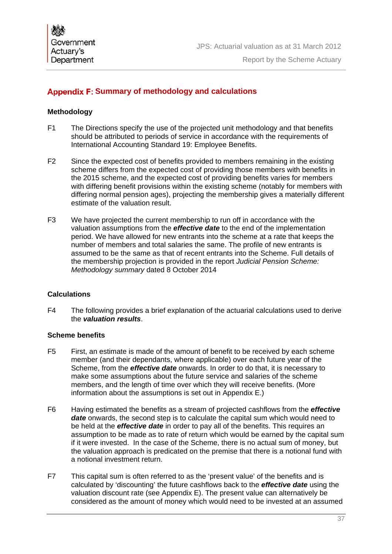## **Appendix F: Summary of methodology and calculations**

#### **Methodology**

- F1 The Directions specify the use of the projected unit methodology and that benefits should be attributed to periods of service in accordance with the requirements of International Accounting Standard 19: Employee Benefits.
- F2 Since the expected cost of benefits provided to members remaining in the existing scheme differs from the expected cost of providing those members with benefits in the 2015 scheme, and the expected cost of providing benefits varies for members with differing benefit provisions within the existing scheme (notably for members with differing normal pension ages), projecting the membership gives a materially different estimate of the valuation result.
- F3 We have projected the current membership to run off in accordance with the valuation assumptions from the *effective date* to the end of the implementation period. We have allowed for new entrants into the scheme at a rate that keeps the number of members and total salaries the same. The profile of new entrants is assumed to be the same as that of recent entrants into the Scheme. Full details of the membership projection is provided in the report *Judicial Pension Scheme: Methodology summary* dated 8 October 2014

#### **Calculations**

F4 The following provides a brief explanation of the actuarial calculations used to derive the *valuation results*.

#### **Scheme benefits**

- F5 First, an estimate is made of the amount of benefit to be received by each scheme member (and their dependants, where applicable) over each future year of the Scheme, from the *effective date* onwards. In order to do that, it is necessary to make some assumptions about the future service and salaries of the scheme members, and the length of time over which they will receive benefits. (More information about the assumptions is set out in Appendix E.)
- F6 Having estimated the benefits as a stream of projected cashflows from the *effective date* onwards, the second step is to calculate the capital sum which would need to be held at the *effective date* in order to pay all of the benefits. This requires an assumption to be made as to rate of return which would be earned by the capital sum if it were invested. In the case of the Scheme, there is no actual sum of money, but the valuation approach is predicated on the premise that there is a notional fund with a notional investment return.
- F7 This capital sum is often referred to as the 'present value' of the benefits and is calculated by 'discounting' the future cashflows back to the *effective date* using the valuation discount rate (see Appendix E). The present value can alternatively be considered as the amount of money which would need to be invested at an assumed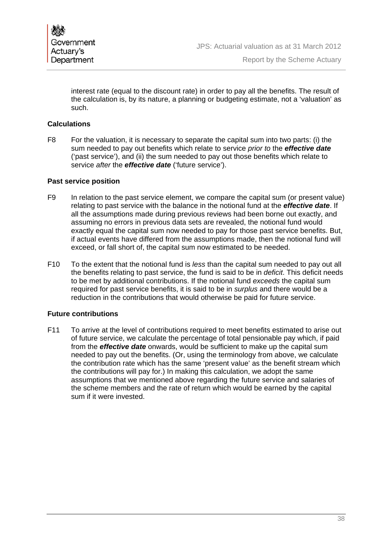

interest rate (equal to the discount rate) in order to pay all the benefits. The result of the calculation is, by its nature, a planning or budgeting estimate, not a 'valuation' as such.

#### **Calculations**

F8 For the valuation, it is necessary to separate the capital sum into two parts: (i) the sum needed to pay out benefits which relate to service *prior to* the *effective date* ('past service'), and (ii) the sum needed to pay out those benefits which relate to service *after* the *effective date* ('future service').

#### **Past service position**

- F9 In relation to the past service element, we compare the capital sum (or present value) relating to past service with the balance in the notional fund at the *effective date*. If all the assumptions made during previous reviews had been borne out exactly, and assuming no errors in previous data sets are revealed, the notional fund would exactly equal the capital sum now needed to pay for those past service benefits. But, if actual events have differed from the assumptions made, then the notional fund will exceed, or fall short of, the capital sum now estimated to be needed.
- F10 To the extent that the notional fund is *less* than the capital sum needed to pay out all the benefits relating to past service, the fund is said to be in *deficit*. This deficit needs to be met by additional contributions. If the notional fund *exceeds* the capital sum required for past service benefits, it is said to be in *surplus* and there would be a reduction in the contributions that would otherwise be paid for future service.

#### **Future contributions**

F11 To arrive at the level of contributions required to meet benefits estimated to arise out of future service, we calculate the percentage of total pensionable pay which, if paid from the *effective date* onwards, would be sufficient to make up the capital sum needed to pay out the benefits. (Or, using the terminology from above, we calculate the contribution rate which has the same 'present value' as the benefit stream which the contributions will pay for.) In making this calculation, we adopt the same assumptions that we mentioned above regarding the future service and salaries of the scheme members and the rate of return which would be earned by the capital sum if it were invested.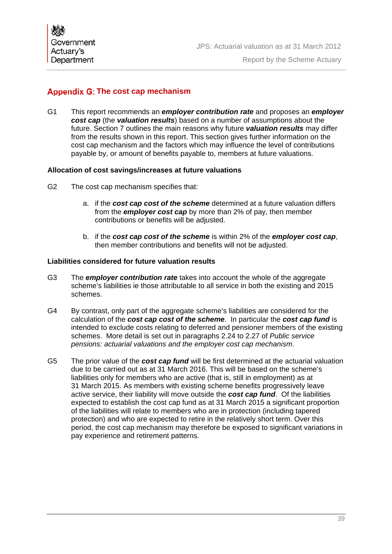## Appendix G: The cost cap mechanism

G1 This report recommends an *employer contribution rate* and proposes an *employer cost cap* (the *valuation results*) based on a number of assumptions about the future. Section 7 outlines the main reasons why future *valuation results* may differ from the results shown in this report. This section gives further information on the cost cap mechanism and the factors which may influence the level of contributions payable by, or amount of benefits payable to, members at future valuations.

#### **Allocation of cost savings/increases at future valuations**

- G2 The cost cap mechanism specifies that:
	- a. if the *cost cap cost of the scheme* determined at a future valuation differs from the *employer cost cap* by more than 2% of pay, then member contributions or benefits will be adjusted.
	- b. if the *cost cap cost of the scheme* is within 2% of the *employer cost cap*, then member contributions and benefits will not be adjusted.

#### **Liabilities considered for future valuation results**

- G3 The *employer contribution rate* takes into account the whole of the aggregate scheme's liabilities ie those attributable to all service in both the existing and 2015 schemes.
- G4 By contrast, only part of the aggregate scheme's liabilities are considered for the calculation of the *cost cap cost of the scheme*. In particular the *cost cap fund* is intended to exclude costs relating to deferred and pensioner members of the existing schemes. More detail is set out in paragraphs 2.24 to 2.27 of *Public service pensions: actuarial valuations and the employer cost cap mechanism*.
- G5 The prior value of the *cost cap fund* will be first determined at the actuarial valuation due to be carried out as at 31 March 2016. This will be based on the scheme's liabilities only for members who are active (that is, still in employment) as at 31 March 2015. As members with existing scheme benefits progressively leave active service, their liability will move outside the *cost cap fund*. Of the liabilities expected to establish the cost cap fund as at 31 March 2015 a significant proportion of the liabilities will relate to members who are in protection (including tapered protection) and who are expected to retire in the relatively short term. Over this period, the cost cap mechanism may therefore be exposed to significant variations in pay experience and retirement patterns.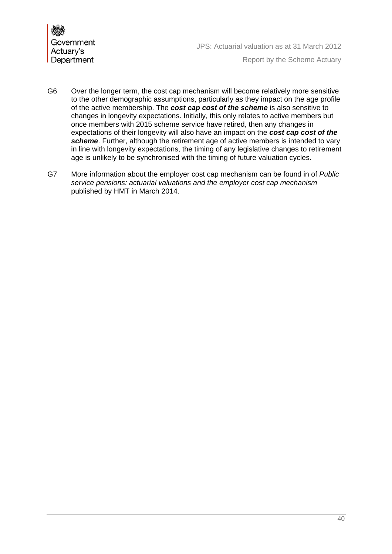

- G6 Over the longer term, the cost cap mechanism will become relatively more sensitive to the other demographic assumptions, particularly as they impact on the age profile of the active membership. The *cost cap cost of the scheme* is also sensitive to changes in longevity expectations. Initially, this only relates to active members but once members with 2015 scheme service have retired, then any changes in expectations of their longevity will also have an impact on the *cost cap cost of the scheme*. Further, although the retirement age of active members is intended to vary in line with longevity expectations, the timing of any legislative changes to retirement age is unlikely to be synchronised with the timing of future valuation cycles.
- G7 More information about the employer cost cap mechanism can be found in of *Public service pensions: actuarial valuations and the employer cost cap mechanism* published by HMT in March 2014.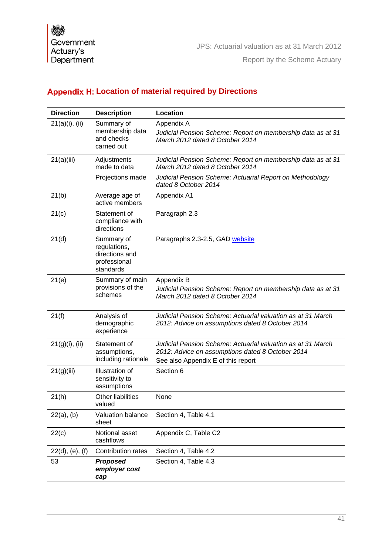## **Appendix H: Location of material required by Directions**

| <b>Direction</b>   | <b>Description</b>                                                        | Location                                                                                                                                              |
|--------------------|---------------------------------------------------------------------------|-------------------------------------------------------------------------------------------------------------------------------------------------------|
| $21(a)(i)$ , (ii)  | Summary of<br>membership data<br>and checks<br>carried out                | Appendix A<br>Judicial Pension Scheme: Report on membership data as at 31<br>March 2012 dated 8 October 2014                                          |
| 21(a)(iii)         | Adjustments<br>made to data                                               | Judicial Pension Scheme: Report on membership data as at 31<br>March 2012 dated 8 October 2014                                                        |
|                    | Projections made                                                          | Judicial Pension Scheme: Actuarial Report on Methodology<br>dated 8 October 2014                                                                      |
| 21(b)              | Average age of<br>active members                                          | Appendix A1                                                                                                                                           |
| 21(c)              | Statement of<br>compliance with<br>directions                             | Paragraph 2.3                                                                                                                                         |
| 21(d)              | Summary of<br>regulations,<br>directions and<br>professional<br>standards | Paragraphs 2.3-2.5, GAD website                                                                                                                       |
| 21(e)              | Summary of main<br>provisions of the<br>schemes                           | Appendix B<br>Judicial Pension Scheme: Report on membership data as at 31<br>March 2012 dated 8 October 2014                                          |
| 21(f)              | Analysis of<br>demographic<br>experience                                  | Judicial Pension Scheme: Actuarial valuation as at 31 March<br>2012: Advice on assumptions dated 8 October 2014                                       |
| $21(g)(i)$ , (ii)  | Statement of<br>assumptions,<br>including rationale                       | Judicial Pension Scheme: Actuarial valuation as at 31 March<br>2012: Advice on assumptions dated 8 October 2014<br>See also Appendix E of this report |
| 21(g)(iii)         | Illustration of<br>sensitivity to<br>assumptions                          | Section 6                                                                                                                                             |
| 21(h)              | Other liabilities<br>valued                                               | None                                                                                                                                                  |
| $22(a)$ , (b)      | Valuation balance<br>sheet                                                | Section 4, Table 4.1                                                                                                                                  |
| 22(c)              | Notional asset<br>cashflows                                               | Appendix C, Table C2                                                                                                                                  |
| $22(d)$ , (e), (f) | Contribution rates                                                        | Section 4, Table 4.2                                                                                                                                  |
| 53                 | <b>Proposed</b><br>employer cost<br>cap                                   | Section 4, Table 4.3                                                                                                                                  |